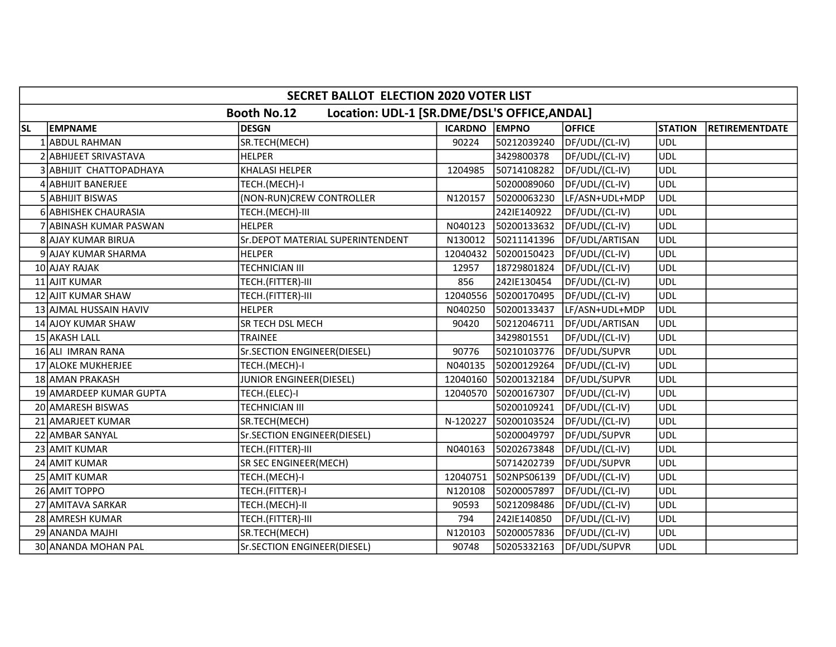|           | <b>SECRET BALLOT ELECTION 2020 VOTER LIST</b>                      |                                   |               |             |                |                |                       |  |  |  |
|-----------|--------------------------------------------------------------------|-----------------------------------|---------------|-------------|----------------|----------------|-----------------------|--|--|--|
|           | <b>Booth No.12</b><br>Location: UDL-1 [SR.DME/DSL'S OFFICE, ANDAL] |                                   |               |             |                |                |                       |  |  |  |
| <b>SL</b> | <b>EMPNAME</b>                                                     | <b>DESGN</b>                      | ICARDNO EMPNO |             | <b>OFFICE</b>  | <b>STATION</b> | <b>RETIREMENTDATE</b> |  |  |  |
|           | 1 ABDUL RAHMAN                                                     | SR.TECH(MECH)                     | 90224         | 50212039240 | DF/UDL/(CL-IV) | <b>UDL</b>     |                       |  |  |  |
|           | 2 ABHIJEET SRIVASTAVA                                              | <b>HELPER</b>                     |               | 3429800378  | DF/UDL/(CL-IV) | <b>UDL</b>     |                       |  |  |  |
|           | 3 ABHIJIT CHATTOPADHAYA                                            | <b>KHALASI HELPER</b>             | 1204985       | 50714108282 | DF/UDL/(CL-IV) | <b>UDL</b>     |                       |  |  |  |
|           | 4 ABHIJIT BANERJEE                                                 | TECH.(MECH)-I                     |               | 50200089060 | DF/UDL/(CL-IV) | <b>UDL</b>     |                       |  |  |  |
|           | 5 ABHIJIT BISWAS                                                   | (NON-RUN)CREW CONTROLLER          | N120157       | 50200063230 | LF/ASN+UDL+MDP | <b>UDL</b>     |                       |  |  |  |
|           | 6 ABHISHEK CHAURASIA                                               | TECH.(MECH)-III                   |               | 242IE140922 | DF/UDL/(CL-IV) | <b>UDL</b>     |                       |  |  |  |
|           | 7 ABINASH KUMAR PASWAN                                             | <b>HELPER</b>                     | N040123       | 50200133632 | DF/UDL/(CL-IV) | <b>UDL</b>     |                       |  |  |  |
|           | 8 AJAY KUMAR BIRUA                                                 | Sr. DEPOT MATERIAL SUPERINTENDENT | N130012       | 50211141396 | DF/UDL/ARTISAN | <b>UDL</b>     |                       |  |  |  |
|           | 9 AJAY KUMAR SHARMA                                                | <b>HELPER</b>                     | 12040432      | 50200150423 | DF/UDL/(CL-IV) | <b>UDL</b>     |                       |  |  |  |
|           | 10 AJAY RAJAK                                                      | <b>TECHNICIAN III</b>             | 12957         | 18729801824 | DF/UDL/(CL-IV) | <b>UDL</b>     |                       |  |  |  |
|           | 11 AJIT KUMAR                                                      | TECH.(FITTER)-III                 | 856           | 242IE130454 | DF/UDL/(CL-IV) | <b>UDL</b>     |                       |  |  |  |
|           | 12 AJIT KUMAR SHAW                                                 | TECH.(FITTER)-III                 | 12040556      | 50200170495 | DF/UDL/(CL-IV) | UDL            |                       |  |  |  |
|           | 13 AJMAL HUSSAIN HAVIV                                             | <b>HELPER</b>                     | N040250       | 50200133437 | LF/ASN+UDL+MDP | <b>UDL</b>     |                       |  |  |  |
|           | 14 AJOY KUMAR SHAW                                                 | SR TECH DSL MECH                  | 90420         | 50212046711 | DF/UDL/ARTISAN | <b>UDL</b>     |                       |  |  |  |
|           | 15 AKASH LALL                                                      | <b>TRAINEE</b>                    |               | 3429801551  | DF/UDL/(CL-IV) | <b>UDL</b>     |                       |  |  |  |
|           | 16 ALI IMRAN RANA                                                  | Sr.SECTION ENGINEER(DIESEL)       | 90776         | 50210103776 | DF/UDL/SUPVR   | <b>UDL</b>     |                       |  |  |  |
|           | 17 ALOKE MUKHERJEE                                                 | TECH.(MECH)-I                     | N040135       | 50200129264 | DF/UDL/(CL-IV) | ludl           |                       |  |  |  |
|           | 18 AMAN PRAKASH                                                    | <b>JUNIOR ENGINEER(DIESEL)</b>    | 12040160      | 50200132184 | DF/UDL/SUPVR   | <b>UDL</b>     |                       |  |  |  |
|           | 19 AMARDEEP KUMAR GUPTA                                            | TECH.(ELEC)-I                     | 12040570      | 50200167307 | DF/UDL/(CL-IV) | <b>UDL</b>     |                       |  |  |  |
|           | 20 AMARESH BISWAS                                                  | <b>TECHNICIAN III</b>             |               | 50200109241 | DF/UDL/(CL-IV) | <b>UDL</b>     |                       |  |  |  |
|           | 21 AMARJEET KUMAR                                                  | SR.TECH(MECH)                     | N-120227      | 50200103524 | DF/UDL/(CL-IV) | <b>UDL</b>     |                       |  |  |  |
|           | 22 AMBAR SANYAL                                                    | Sr.SECTION ENGINEER(DIESEL)       |               | 50200049797 | DF/UDL/SUPVR   | <b>UDL</b>     |                       |  |  |  |
|           | 23 AMIT KUMAR                                                      | TECH.(FITTER)-III                 | N040163       | 50202673848 | DF/UDL/(CL-IV) | UDL            |                       |  |  |  |
|           | 24 AMIT KUMAR                                                      | <b>SR SEC ENGINEER(MECH)</b>      |               | 50714202739 | DF/UDL/SUPVR   | UDL            |                       |  |  |  |
|           | 25 AMIT KUMAR                                                      | TECH.(MECH)-I                     | 12040751      | 502NPS06139 | DF/UDL/(CL-IV) | <b>UDL</b>     |                       |  |  |  |
|           | 26 AMIT TOPPO                                                      | TECH.(FITTER)-I                   | N120108       | 50200057897 | DF/UDL/(CL-IV) | UDL)           |                       |  |  |  |
|           | 27 AMITAVA SARKAR                                                  | TECH.(MECH)-II                    | 90593         | 50212098486 | DF/UDL/(CL-IV) | <b>UDL</b>     |                       |  |  |  |
|           | 28 AMRESH KUMAR                                                    | TECH.(FITTER)-III                 | 794           | 242IE140850 | DF/UDL/(CL-IV) | <b>UDL</b>     |                       |  |  |  |
|           | 29 ANANDA MAJHI                                                    | SR.TECH(MECH)                     | N120103       | 50200057836 | DF/UDL/(CL-IV) | <b>UDL</b>     |                       |  |  |  |
|           | 30 ANANDA MOHAN PAL                                                | Sr.SECTION ENGINEER(DIESEL)       | 90748         | 50205332163 | DF/UDL/SUPVR   | <b>UDL</b>     |                       |  |  |  |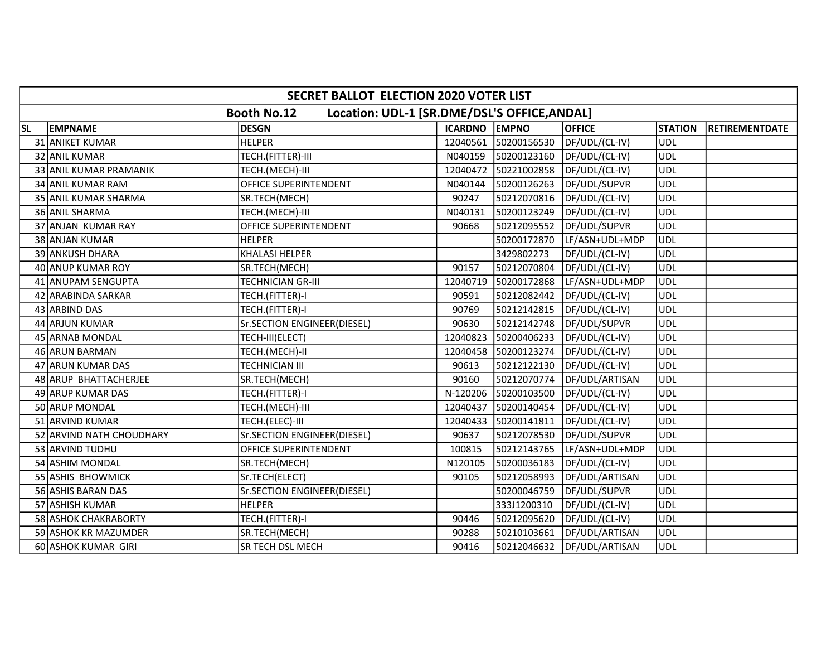|           | SECRET BALLOT ELECTION 2020 VOTER LIST |                                                                    |               |             |                |                |                       |  |  |  |
|-----------|----------------------------------------|--------------------------------------------------------------------|---------------|-------------|----------------|----------------|-----------------------|--|--|--|
|           |                                        | <b>Booth No.12</b><br>Location: UDL-1 [SR.DME/DSL'S OFFICE, ANDAL] |               |             |                |                |                       |  |  |  |
| <b>SL</b> | <b>EMPNAME</b>                         | <b>DESGN</b>                                                       | ICARDNO EMPNO |             | <b>OFFICE</b>  | <b>STATION</b> | <b>RETIREMENTDATE</b> |  |  |  |
|           | 31 ANIKET KUMAR                        | <b>HELPER</b>                                                      | 12040561      | 50200156530 | DF/UDL/(CL-IV) | <b>UDL</b>     |                       |  |  |  |
|           | 32 ANIL KUMAR                          | TECH.(FITTER)-III                                                  | N040159       | 50200123160 | DF/UDL/(CL-IV) | <b>UDL</b>     |                       |  |  |  |
|           | 33 ANIL KUMAR PRAMANIK                 | TECH.(MECH)-III                                                    | 12040472      | 50221002858 | DF/UDL/(CL-IV) | <b>UDL</b>     |                       |  |  |  |
|           | 34 ANIL KUMAR RAM                      | OFFICE SUPERINTENDENT                                              | N040144       | 50200126263 | DF/UDL/SUPVR   | <b>UDL</b>     |                       |  |  |  |
|           | 35 ANIL KUMAR SHARMA                   | SR.TECH(MECH)                                                      | 90247         | 50212070816 | DF/UDL/(CL-IV) | <b>UDL</b>     |                       |  |  |  |
|           | 36 ANIL SHARMA                         | TECH.(MECH)-III                                                    | N040131       | 50200123249 | DF/UDL/(CL-IV) | <b>UDL</b>     |                       |  |  |  |
|           | 37 ANJAN KUMAR RAY                     | OFFICE SUPERINTENDENT                                              | 90668         | 50212095552 | DF/UDL/SUPVR   | UDL            |                       |  |  |  |
|           | 38 ANJAN KUMAR                         | <b>HELPER</b>                                                      |               | 50200172870 | LF/ASN+UDL+MDP | ludl           |                       |  |  |  |
|           | 39 ANKUSH DHARA                        | <b>KHALASI HELPER</b>                                              |               | 3429802273  | DF/UDL/(CL-IV) | <b>UDL</b>     |                       |  |  |  |
|           | 40 ANUP KUMAR ROY                      | SR.TECH(MECH)                                                      | 90157         | 50212070804 | DF/UDL/(CL-IV) | <b>UDL</b>     |                       |  |  |  |
|           | 41 ANUPAM SENGUPTA                     | <b>TECHNICIAN GR-III</b>                                           | 12040719      | 50200172868 | LF/ASN+UDL+MDP | <b>UDL</b>     |                       |  |  |  |
|           | 42 ARABINDA SARKAR                     | TECH.(FITTER)-I                                                    | 90591         | 50212082442 | DF/UDL/(CL-IV) | <b>UDL</b>     |                       |  |  |  |
|           | 43 ARBIND DAS                          | TECH.(FITTER)-I                                                    | 90769         | 50212142815 | DF/UDL/(CL-IV) | <b>UDL</b>     |                       |  |  |  |
|           | 44 ARJUN KUMAR                         | Sr.SECTION ENGINEER(DIESEL)                                        | 90630         | 50212142748 | DF/UDL/SUPVR   | <b>UDL</b>     |                       |  |  |  |
|           | 45 ARNAB MONDAL                        | TECH-III(ELECT)                                                    | 12040823      | 50200406233 | DF/UDL/(CL-IV) | <b>UDL</b>     |                       |  |  |  |
|           | 46 ARUN BARMAN                         | TECH.(MECH)-II                                                     | 12040458      | 50200123274 | DF/UDL/(CL-IV) | <b>UDL</b>     |                       |  |  |  |
|           | 47 ARUN KUMAR DAS                      | <b>TECHNICIAN III</b>                                              | 90613         | 50212122130 | DF/UDL/(CL-IV) | ludl           |                       |  |  |  |
|           | 48 ARUP BHATTACHERJEE                  | SR.TECH(MECH)                                                      | 90160         | 50212070774 | DF/UDL/ARTISAN | <b>UDL</b>     |                       |  |  |  |
|           | 49 ARUP KUMAR DAS                      | TECH.(FITTER)-I                                                    | N-120206      | 50200103500 | DF/UDL/(CL-IV) | <b>UDL</b>     |                       |  |  |  |
|           | 50 ARUP MONDAL                         | TECH.(MECH)-III                                                    | 12040437      | 50200140454 | DF/UDL/(CL-IV) | <b>UDL</b>     |                       |  |  |  |
|           | 51 ARVIND KUMAR                        | TECH.(ELEC)-III                                                    | 12040433      | 50200141811 | DF/UDL/(CL-IV) | <b>UDL</b>     |                       |  |  |  |
|           | 52 ARVIND NATH CHOUDHARY               | Sr.SECTION ENGINEER(DIESEL)                                        | 90637         | 50212078530 | DF/UDL/SUPVR   | <b>UDL</b>     |                       |  |  |  |
|           | 53 ARVIND TUDHU                        | OFFICE SUPERINTENDENT                                              | 100815        | 50212143765 | LF/ASN+UDL+MDP | <b>UDL</b>     |                       |  |  |  |
|           | 54 ASHIM MONDAL                        | SR.TECH(MECH)                                                      | N120105       | 50200036183 | DF/UDL/(CL-IV) | <b>UDL</b>     |                       |  |  |  |
|           | 55 ASHIS BHOWMICK                      | Sr.TECH(ELECT)                                                     | 90105         | 50212058993 | DF/UDL/ARTISAN | <b>UDL</b>     |                       |  |  |  |
|           | 56 ASHIS BARAN DAS                     | Sr.SECTION ENGINEER(DIESEL)                                        |               | 50200046759 | DF/UDL/SUPVR   | <b>UDL</b>     |                       |  |  |  |
|           | 57 ASHISH KUMAR                        | <b>HELPER</b>                                                      |               | 333J1200310 | DF/UDL/(CL-IV) | <b>UDL</b>     |                       |  |  |  |
|           | 58 ASHOK CHAKRABORTY                   | TECH.(FITTER)-I                                                    | 90446         | 50212095620 | DF/UDL/(CL-IV) | <b>UDL</b>     |                       |  |  |  |
|           | 59 ASHOK KR MAZUMDER                   | SR.TECH(MECH)                                                      | 90288         | 50210103661 | DF/UDL/ARTISAN | <b>UDL</b>     |                       |  |  |  |
|           | 60 ASHOK KUMAR GIRI                    | SR TECH DSL MECH                                                   | 90416         | 50212046632 | DF/UDL/ARTISAN | <b>UDL</b>     |                       |  |  |  |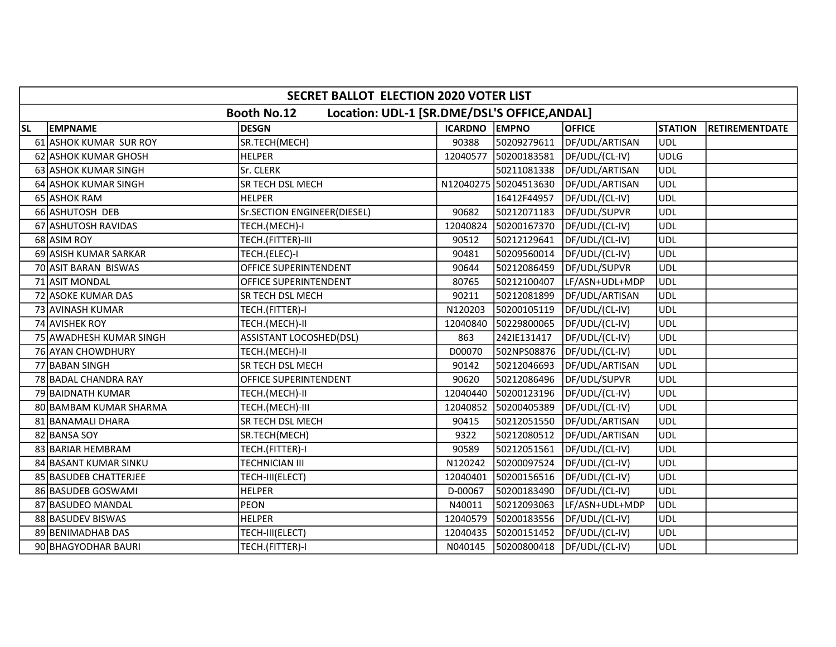|           | SECRET BALLOT ELECTION 2020 VOTER LIST |                                                                    |               |                       |                |                |                       |  |  |
|-----------|----------------------------------------|--------------------------------------------------------------------|---------------|-----------------------|----------------|----------------|-----------------------|--|--|
|           |                                        | Location: UDL-1 [SR.DME/DSL'S OFFICE, ANDAL]<br><b>Booth No.12</b> |               |                       |                |                |                       |  |  |
| <b>SL</b> | <b>EMPNAME</b>                         | <b>DESGN</b>                                                       | ICARDNO EMPNO |                       | <b>OFFICE</b>  | <b>STATION</b> | <b>RETIREMENTDATE</b> |  |  |
|           | 61 ASHOK KUMAR SUR ROY                 | SR.TECH(MECH)                                                      | 90388         | 50209279611           | DF/UDL/ARTISAN | UDL            |                       |  |  |
|           | 62 ASHOK KUMAR GHOSH                   | <b>HELPER</b>                                                      | 12040577      | 50200183581           | DF/UDL/(CL-IV) | <b>UDLG</b>    |                       |  |  |
|           | 63 ASHOK KUMAR SINGH                   | Sr. CLERK                                                          |               | 50211081338           | DF/UDL/ARTISAN | <b>UDL</b>     |                       |  |  |
|           | 64 ASHOK KUMAR SINGH                   | SR TECH DSL MECH                                                   |               | N12040275 50204513630 | DF/UDL/ARTISAN | <b>UDL</b>     |                       |  |  |
|           | 65 ASHOK RAM                           | <b>HELPER</b>                                                      |               | 16412F44957           | DF/UDL/(CL-IV) | <b>UDL</b>     |                       |  |  |
|           | 66 ASHUTOSH DEB                        | Sr.SECTION ENGINEER(DIESEL)                                        | 90682         | 50212071183           | DF/UDL/SUPVR   | <b>UDL</b>     |                       |  |  |
|           | 67 ASHUTOSH RAVIDAS                    | TECH.(MECH)-I                                                      | 12040824      | 50200167370           | DF/UDL/(CL-IV) | <b>UDL</b>     |                       |  |  |
|           | 68 ASIM ROY                            | TECH.(FITTER)-III                                                  | 90512         | 50212129641           | DF/UDL/(CL-IV) | ludl           |                       |  |  |
|           | 69 ASISH KUMAR SARKAR                  | TECH.(ELEC)-I                                                      | 90481         | 50209560014           | DF/UDL/(CL-IV) | <b>UDL</b>     |                       |  |  |
|           | 70 ASIT BARAN BISWAS                   | OFFICE SUPERINTENDENT                                              | 90644         | 50212086459           | DF/UDL/SUPVR   | <b>UDL</b>     |                       |  |  |
|           | 71 ASIT MONDAL                         | OFFICE SUPERINTENDENT                                              | 80765         | 50212100407           | LF/ASN+UDL+MDP | <b>UDL</b>     |                       |  |  |
|           | 72 ASOKE KUMAR DAS                     | SR TECH DSL MECH                                                   | 90211         | 50212081899           | DF/UDL/ARTISAN | <b>UDL</b>     |                       |  |  |
|           | 73 AVINASH KUMAR                       | TECH.(FITTER)-I                                                    | N120203       | 50200105119           | DF/UDL/(CL-IV) | ludl           |                       |  |  |
|           | 74 AVISHEK ROY                         | TECH.(MECH)-II                                                     | 12040840      | 50229800065           | DF/UDL/(CL-IV) | <b>UDL</b>     |                       |  |  |
|           | 75 AWADHESH KUMAR SINGH                | ASSISTANT LOCOSHED(DSL)                                            | 863           | 242IE131417           | DF/UDL/(CL-IV) | <b>UDL</b>     |                       |  |  |
|           | 76 AYAN CHOWDHURY                      | TECH.(MECH)-II                                                     | D00070        | 502NPS08876           | DF/UDL/(CL-IV) | <b>UDL</b>     |                       |  |  |
|           | 77 BABAN SINGH                         | SR TECH DSL MECH                                                   | 90142         | 50212046693           | DF/UDL/ARTISAN | ludl           |                       |  |  |
|           | 78 BADAL CHANDRA RAY                   | OFFICE SUPERINTENDENT                                              | 90620         | 50212086496           | DF/UDL/SUPVR   | <b>UDL</b>     |                       |  |  |
|           | 79 BAIDNATH KUMAR                      | TECH.(MECH)-II                                                     | 12040440      | 50200123196           | DF/UDL/(CL-IV) | <b>UDL</b>     |                       |  |  |
|           | 80 BAMBAM KUMAR SHARMA                 | TECH.(MECH)-III                                                    | 12040852      | 50200405389           | DF/UDL/(CL-IV) | <b>UDL</b>     |                       |  |  |
|           | 81 BANAMALI DHARA                      | SR TECH DSL MECH                                                   | 90415         | 50212051550           | DF/UDL/ARTISAN | <b>UDL</b>     |                       |  |  |
|           | 82 BANSA SOY                           | SR.TECH(MECH)                                                      | 9322          | 50212080512           | DF/UDL/ARTISAN | <b>UDL</b>     |                       |  |  |
|           | 83 BARIAR HEMBRAM                      | TECH.(FITTER)-I                                                    | 90589         | 50212051561           | DF/UDL/(CL-IV) | <b>UDL</b>     |                       |  |  |
|           | 84 BASANT KUMAR SINKU                  | TECHNICIAN III                                                     | N120242       | 50200097524           | DF/UDL/(CL-IV) | <b>UDL</b>     |                       |  |  |
|           | 85 BASUDEB CHATTERJEE                  | TECH-III(ELECT)                                                    | 12040401      | 50200156516           | DF/UDL/(CL-IV) | <b>UDL</b>     |                       |  |  |
|           | 86 BASUDEB GOSWAMI                     | <b>HELPER</b>                                                      | D-00067       | 50200183490           | DF/UDL/(CL-IV) | <b>UDL</b>     |                       |  |  |
|           | 87 BASUDEO MANDAL                      | <b>PEON</b>                                                        | N40011        | 50212093063           | LF/ASN+UDL+MDP | ludl           |                       |  |  |
|           | 88 BASUDEV BISWAS                      | <b>HELPER</b>                                                      | 12040579      | 50200183556           | DF/UDL/(CL-IV) | <b>UDL</b>     |                       |  |  |
|           | 89 BENIMADHAB DAS                      | TECH-III(ELECT)                                                    | 12040435      | 50200151452           | DF/UDL/(CL-IV) | <b>UDL</b>     |                       |  |  |
|           | 90 BHAGYODHAR BAURI                    | TECH.(FITTER)-I                                                    |               | N040145 50200800418   | DF/UDL/(CL-IV) | <b>UDL</b>     |                       |  |  |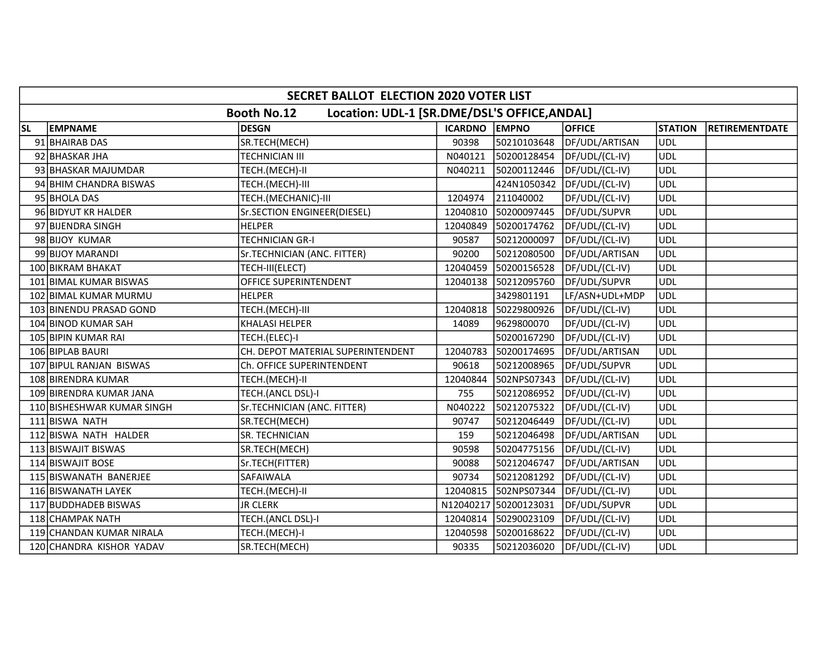|           |                                                                    | SECRET BALLOT ELECTION 2020 VOTER LIST |                      |                       |                |                |                       |  |  |  |
|-----------|--------------------------------------------------------------------|----------------------------------------|----------------------|-----------------------|----------------|----------------|-----------------------|--|--|--|
|           | Location: UDL-1 [SR.DME/DSL'S OFFICE, ANDAL]<br><b>Booth No.12</b> |                                        |                      |                       |                |                |                       |  |  |  |
| <b>SL</b> | <b>EMPNAME</b>                                                     | <b>DESGN</b>                           | <b>ICARDNO EMPNO</b> |                       | <b>OFFICE</b>  | <b>STATION</b> | <b>RETIREMENTDATE</b> |  |  |  |
|           | 91 BHAIRAB DAS                                                     | SR.TECH(MECH)                          | 90398                | 50210103648           | DF/UDL/ARTISAN | ludl           |                       |  |  |  |
|           | 92 BHASKAR JHA                                                     | <b>TECHNICIAN III</b>                  | N040121              | 50200128454           | DF/UDL/(CL-IV) | <b>UDL</b>     |                       |  |  |  |
|           | 93 BHASKAR MAJUMDAR                                                | TECH.(MECH)-II                         | N040211              | 50200112446           | DF/UDL/(CL-IV) | <b>UDL</b>     |                       |  |  |  |
|           | 94 BHIM CHANDRA BISWAS                                             | TECH.(MECH)-III                        |                      | 424N1050342           | DF/UDL/(CL-IV) | <b>UDL</b>     |                       |  |  |  |
|           | 95 BHOLA DAS                                                       | TECH.(MECHANIC)-III                    | 1204974              | 211040002             | DF/UDL/(CL-IV) | <b>UDL</b>     |                       |  |  |  |
|           | 96 BIDYUT KR HALDER                                                | Sr.SECTION ENGINEER(DIESEL)            | 12040810             | 50200097445           | DF/UDL/SUPVR   | UDL            |                       |  |  |  |
|           | 97 BIJENDRA SINGH                                                  | <b>HELPER</b>                          | 12040849             | 50200174762           | DF/UDL/(CL-IV) | <b>UDL</b>     |                       |  |  |  |
|           | 98 BIJOY KUMAR                                                     | <b>TECHNICIAN GR-I</b>                 | 90587                | 50212000097           | DF/UDL/(CL-IV) | <b>UDL</b>     |                       |  |  |  |
|           | 99 BIJOY MARANDI                                                   | Sr.TECHNICIAN (ANC. FITTER)            | 90200                | 50212080500           | DF/UDL/ARTISAN | <b>UDL</b>     |                       |  |  |  |
|           | 100 BIKRAM BHAKAT                                                  | TECH-III(ELECT)                        | 12040459             | 50200156528           | DF/UDL/(CL-IV) | <b>UDL</b>     |                       |  |  |  |
|           | 101 BIMAL KUMAR BISWAS                                             | OFFICE SUPERINTENDENT                  | 12040138             | 50212095760           | DF/UDL/SUPVR   | <b>UDL</b>     |                       |  |  |  |
|           | 102 BIMAL KUMAR MURMU                                              | <b>HELPER</b>                          |                      | 3429801191            | LF/ASN+UDL+MDP | <b>UDL</b>     |                       |  |  |  |
|           | 103 BINENDU PRASAD GOND                                            | TECH.(MECH)-III                        | 12040818             | 50229800926           | DF/UDL/(CL-IV) | <b>UDL</b>     |                       |  |  |  |
|           | 104 BINOD KUMAR SAH                                                | <b>KHALASI HELPER</b>                  | 14089                | 9629800070            | DF/UDL/(CL-IV) | <b>UDL</b>     |                       |  |  |  |
|           | 105 BIPIN KUMAR RAI                                                | TECH.(ELEC)-I                          |                      | 50200167290           | DF/UDL/(CL-IV) | <b>UDL</b>     |                       |  |  |  |
|           | 106 BIPLAB BAURI                                                   | CH. DEPOT MATERIAL SUPERINTENDENT      | 12040783             | 50200174695           | DF/UDL/ARTISAN | <b>UDL</b>     |                       |  |  |  |
|           | 107 BIPUL RANJAN BISWAS                                            | Ch. OFFICE SUPERINTENDENT              | 90618                | 50212008965           | DF/UDL/SUPVR   | <b>UDL</b>     |                       |  |  |  |
|           | 108 BIRENDRA KUMAR                                                 | TECH.(MECH)-II                         | 12040844             | 502NPS07343           | DF/UDL/(CL-IV) | <b>UDL</b>     |                       |  |  |  |
|           | 109 BIRENDRA KUMAR JANA                                            | TECH.(ANCL DSL)-I                      | 755                  | 50212086952           | DF/UDL/(CL-IV) | <b>UDL</b>     |                       |  |  |  |
|           | 110 BISHESHWAR KUMAR SINGH                                         | Sr.TECHNICIAN (ANC. FITTER)            | N040222              | 50212075322           | DF/UDL/(CL-IV) | <b>UDL</b>     |                       |  |  |  |
|           | 111 BISWA NATH                                                     | SR.TECH(MECH)                          | 90747                | 50212046449           | DF/UDL/(CL-IV) | <b>UDL</b>     |                       |  |  |  |
|           | 112 BISWA NATH HALDER                                              | SR. TECHNICIAN                         | 159                  | 50212046498           | DF/UDL/ARTISAN | <b>UDL</b>     |                       |  |  |  |
|           | 113 BISWAJIT BISWAS                                                | SR.TECH(MECH)                          | 90598                | 50204775156           | DF/UDL/(CL-IV) | <b>UDL</b>     |                       |  |  |  |
|           | 114 BISWAJIT BOSE                                                  | Sr.TECH(FITTER)                        | 90088                | 50212046747           | DF/UDL/ARTISAN | <b>UDL</b>     |                       |  |  |  |
|           | 115 BISWANATH BANERJEE                                             | SAFAIWALA                              | 90734                | 50212081292           | DF/UDL/(CL-IV) | <b>UDL</b>     |                       |  |  |  |
|           | 116 BISWANATH LAYEK                                                | TECH.(MECH)-II                         | 12040815             | 502NPS07344           | DF/UDL/(CL-IV) | <b>UDL</b>     |                       |  |  |  |
|           | 117 BUDDHADEB BISWAS                                               | <b>JR CLERK</b>                        |                      | N12040217 50200123031 | DF/UDL/SUPVR   | <b>UDL</b>     |                       |  |  |  |
|           | 118 CHAMPAK NATH                                                   | TECH.(ANCL DSL)-I                      | 12040814             | 50290023109           | DF/UDL/(CL-IV) | <b>UDL</b>     |                       |  |  |  |
|           | 119 CHANDAN KUMAR NIRALA                                           | TECH.(MECH)-I                          | 12040598             | 50200168622           | DF/UDL/(CL-IV) | <b>UDL</b>     |                       |  |  |  |
|           | 120 CHANDRA KISHOR YADAV                                           | SR.TECH(MECH)                          | 90335                | 50212036020           | DF/UDL/(CL-IV) | <b>UDL</b>     |                       |  |  |  |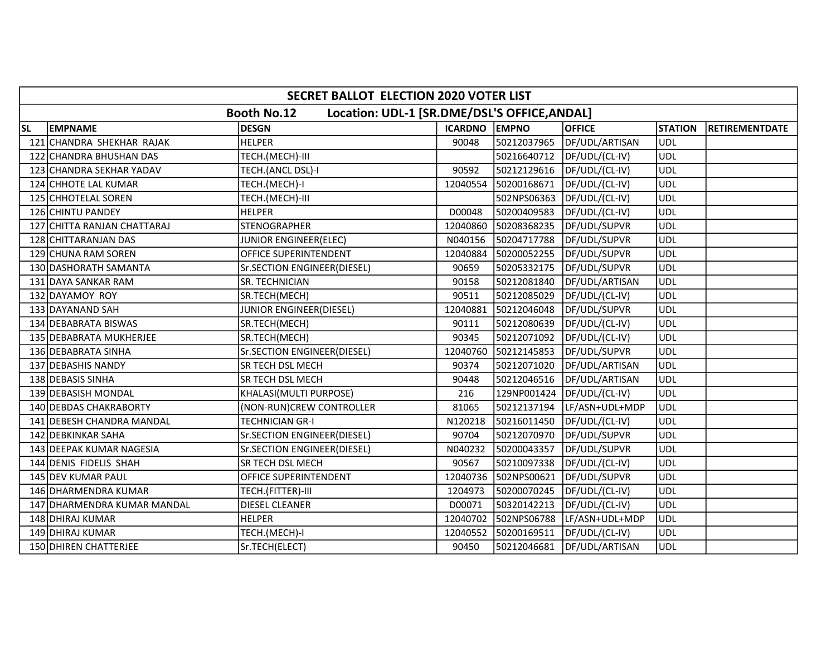|     | SECRET BALLOT ELECTION 2020 VOTER LIST                             |                             |               |             |                |                |                       |  |  |  |
|-----|--------------------------------------------------------------------|-----------------------------|---------------|-------------|----------------|----------------|-----------------------|--|--|--|
|     | Location: UDL-1 [SR.DME/DSL'S OFFICE, ANDAL]<br><b>Booth No.12</b> |                             |               |             |                |                |                       |  |  |  |
| SL  | <b>EMPNAME</b>                                                     | <b>DESGN</b>                | ICARDNO EMPNO |             | <b>OFFICE</b>  | <b>STATION</b> | <b>RETIREMENTDATE</b> |  |  |  |
|     | 121 CHANDRA SHEKHAR RAJAK                                          | <b>HELPER</b>               | 90048         | 50212037965 | DF/UDL/ARTISAN | <b>UDL</b>     |                       |  |  |  |
| 122 | CHANDRA BHUSHAN DAS                                                | TECH.(MECH)-III             |               | 50216640712 | DF/UDL/(CL-IV) | <b>UDL</b>     |                       |  |  |  |
|     | 123 CHANDRA SEKHAR YADAV                                           | TECH.(ANCL DSL)-I           | 90592         | 50212129616 | DF/UDL/(CL-IV) | UDL            |                       |  |  |  |
|     | 124 CHHOTE LAL KUMAR                                               | TECH.(MECH)-I               | 12040554      | 50200168671 | DF/UDL/(CL-IV) | <b>UDL</b>     |                       |  |  |  |
|     | 125 CHHOTELAL SOREN                                                | TECH.(MECH)-III             |               | 502NPS06363 | DF/UDL/(CL-IV) | <b>UDL</b>     |                       |  |  |  |
|     | 126 CHINTU PANDEY                                                  | <b>HELPER</b>               | D00048        | 50200409583 | DF/UDL/(CL-IV) | UDL            |                       |  |  |  |
| 127 | CHITTA RANJAN CHATTARAJ                                            | STENOGRAPHER                | 12040860      | 50208368235 | DF/UDL/SUPVR   | <b>UDL</b>     |                       |  |  |  |
|     | 128 CHITTARANJAN DAS                                               | JUNIOR ENGINEER(ELEC)       | N040156       | 50204717788 | DF/UDL/SUPVR   | <b>UDL</b>     |                       |  |  |  |
|     | 129 CHUNA RAM SOREN                                                | OFFICE SUPERINTENDENT       | 12040884      | 50200052255 | DF/UDL/SUPVR   | <b>UDL</b>     |                       |  |  |  |
|     | 130 DASHORATH SAMANTA                                              | Sr.SECTION ENGINEER(DIESEL) | 90659         | 50205332175 | DF/UDL/SUPVR   | <b>UDL</b>     |                       |  |  |  |
|     | 131 DAYA SANKAR RAM                                                | SR. TECHNICIAN              | 90158         | 50212081840 | DF/UDL/ARTISAN | <b>UDL</b>     |                       |  |  |  |
|     | 132 DAYAMOY ROY                                                    | SR.TECH(MECH)               | 90511         | 50212085029 | DF/UDL/(CL-IV) | UDL            |                       |  |  |  |
|     | 133 DAYANAND SAH                                                   | JUNIOR ENGINEER(DIESEL)     | 12040881      | 50212046048 | DF/UDL/SUPVR   | <b>UDL</b>     |                       |  |  |  |
|     | 134 DEBABRATA BISWAS                                               | SR.TECH(MECH)               | 90111         | 50212080639 | DF/UDL/(CL-IV) | <b>UDL</b>     |                       |  |  |  |
|     | 135 DEBABRATA MUKHERJEE                                            | SR.TECH(MECH)               | 90345         | 50212071092 | DF/UDL/(CL-IV) | UDL            |                       |  |  |  |
|     | 136 DEBABRATA SINHA                                                | Sr.SECTION ENGINEER(DIESEL) | 12040760      | 50212145853 | DF/UDL/SUPVR   | <b>UDL</b>     |                       |  |  |  |
|     | 137 DEBASHIS NANDY                                                 | SR TECH DSL MECH            | 90374         | 50212071020 | DF/UDL/ARTISAN | UDL            |                       |  |  |  |
|     | 138 DEBASIS SINHA                                                  | SR TECH DSL MECH            | 90448         | 50212046516 | DF/UDL/ARTISAN | UDL            |                       |  |  |  |
|     | 139 DEBASISH MONDAL                                                | KHALASI(MULTI PURPOSE)      | 216           | 129NP001424 | DF/UDL/(CL-IV) | <b>UDL</b>     |                       |  |  |  |
|     | 140 DEBDAS CHAKRABORTY                                             | (NON-RUN)CREW CONTROLLER    | 81065         | 50212137194 | LF/ASN+UDL+MDP | <b>UDL</b>     |                       |  |  |  |
|     | 141 DEBESH CHANDRA MANDAL                                          | TECHNICIAN GR-I             | N120218       | 50216011450 | DF/UDL/(CL-IV) | <b>UDL</b>     |                       |  |  |  |
|     | 142 DEBKINKAR SAHA                                                 | Sr.SECTION ENGINEER(DIESEL) | 90704         | 50212070970 | DF/UDL/SUPVR   | <b>UDL</b>     |                       |  |  |  |
| 143 | <b>DEEPAK KUMAR NAGESIA</b>                                        | Sr.SECTION ENGINEER(DIESEL) | N040232       | 50200043357 | DF/UDL/SUPVR   | <b>UDL</b>     |                       |  |  |  |
|     | 144 DENIS FIDELIS SHAH                                             | SR TECH DSL MECH            | 90567         | 50210097338 | DF/UDL/(CL-IV) | <b>UDL</b>     |                       |  |  |  |
|     | 145 DEV KUMAR PAUL                                                 | OFFICE SUPERINTENDENT       | 12040736      | 502NPS00621 | DF/UDL/SUPVR   | <b>UDL</b>     |                       |  |  |  |
|     | 146 DHARMENDRA KUMAR                                               | TECH.(FITTER)-III           | 1204973       | 50200070245 | DF/UDL/(CL-IV) | <b>UDL</b>     |                       |  |  |  |
|     | 147 DHARMENDRA KUMAR MANDAL                                        | DIESEL CLEANER              | D00071        | 50320142213 | DF/UDL/(CL-IV) | <b>UDL</b>     |                       |  |  |  |
|     | 148 DHIRAJ KUMAR                                                   | HELPER                      | 12040702      | 502NPS06788 | LF/ASN+UDL+MDP | UDL            |                       |  |  |  |
|     | 149 DHIRAJ KUMAR                                                   | TECH.(MECH)-I               | 12040552      | 50200169511 | DF/UDL/(CL-IV) | <b>UDL</b>     |                       |  |  |  |
|     | 150 DHIREN CHATTERJEE                                              | Sr.TECH(ELECT)              | 90450         | 50212046681 | DF/UDL/ARTISAN | <b>UDL</b>     |                       |  |  |  |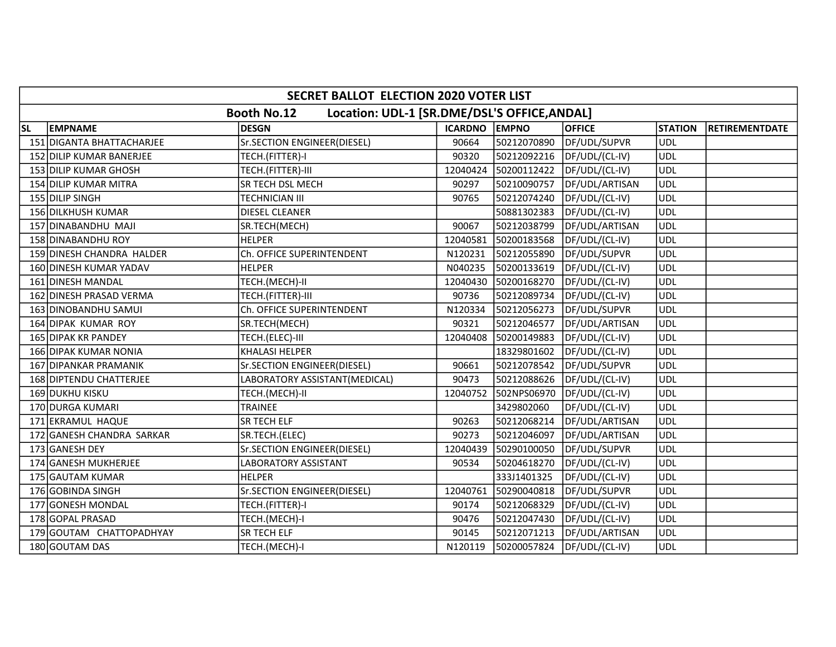|           | <b>SECRET BALLOT ELECTION 2020 VOTER LIST</b> |                                                                    |               |             |                |                |                       |  |  |
|-----------|-----------------------------------------------|--------------------------------------------------------------------|---------------|-------------|----------------|----------------|-----------------------|--|--|
|           |                                               | Location: UDL-1 [SR.DME/DSL'S OFFICE, ANDAL]<br><b>Booth No.12</b> |               |             |                |                |                       |  |  |
| <b>SL</b> | <b>EMPNAME</b>                                | <b>DESGN</b>                                                       | ICARDNO EMPNO |             | <b>OFFICE</b>  | <b>STATION</b> | <b>RETIREMENTDATE</b> |  |  |
|           | 151 DIGANTA BHATTACHARJEE                     | Sr.SECTION ENGINEER(DIESEL)                                        | 90664         | 50212070890 | DF/UDL/SUPVR   | UDL            |                       |  |  |
|           | 152 DILIP KUMAR BANERJEE                      | TECH.(FITTER)-I                                                    | 90320         | 50212092216 | DF/UDL/(CL-IV) | <b>UDL</b>     |                       |  |  |
|           | 153 DILIP KUMAR GHOSH                         | TECH.(FITTER)-III                                                  | 12040424      | 50200112422 | DF/UDL/(CL-IV) | <b>UDL</b>     |                       |  |  |
|           | 154 DILIP KUMAR MITRA                         | SR TECH DSL MECH                                                   | 90297         | 50210090757 | DF/UDL/ARTISAN | <b>UDL</b>     |                       |  |  |
|           | 155 DILIP SINGH                               | TECHNICIAN III                                                     | 90765         | 50212074240 | DF/UDL/(CL-IV) | <b>UDL</b>     |                       |  |  |
|           | 156 DILKHUSH KUMAR                            | <b>DIESEL CLEANER</b>                                              |               | 50881302383 | DF/UDL/(CL-IV) | <b>UDL</b>     |                       |  |  |
|           | 157 DINABANDHU MAJI                           | SR.TECH(MECH)                                                      | 90067         | 50212038799 | DF/UDL/ARTISAN | <b>UDL</b>     |                       |  |  |
|           | 158 DINABANDHU ROY                            | <b>HELPER</b>                                                      | 12040581      | 50200183568 | DF/UDL/(CL-IV) | UDL            |                       |  |  |
|           | 159 DINESH CHANDRA HALDER                     | Ch. OFFICE SUPERINTENDENT                                          | N120231       | 50212055890 | DF/UDL/SUPVR   | <b>UDL</b>     |                       |  |  |
|           | 160 DINESH KUMAR YADAV                        | <b>HELPER</b>                                                      | N040235       | 50200133619 | DF/UDL/(CL-IV) | <b>UDL</b>     |                       |  |  |
|           | 161 DINESH MANDAL                             | TECH.(MECH)-II                                                     | 12040430      | 50200168270 | DF/UDL/(CL-IV) | <b>UDL</b>     |                       |  |  |
|           | 162 DINESH PRASAD VERMA                       | TECH.(FITTER)-III                                                  | 90736         | 50212089734 | DF/UDL/(CL-IV) | <b>UDL</b>     |                       |  |  |
|           | 163 DINOBANDHU SAMUI                          | Ch. OFFICE SUPERINTENDENT                                          | N120334       | 50212056273 | DF/UDL/SUPVR   | <b>UDL</b>     |                       |  |  |
|           | 164 DIPAK KUMAR ROY                           | SR.TECH(MECH)                                                      | 90321         | 50212046577 | DF/UDL/ARTISAN | <b>UDL</b>     |                       |  |  |
|           | 165 DIPAK KR PANDEY                           | TECH.(ELEC)-III                                                    | 12040408      | 50200149883 | DF/UDL/(CL-IV) | UDL            |                       |  |  |
|           | 166 DIPAK KUMAR NONIA                         | <b>KHALASI HELPER</b>                                              |               | 18329801602 | DF/UDL/(CL-IV) | <b>UDL</b>     |                       |  |  |
|           | 167 DIPANKAR PRAMANIK                         | Sr.SECTION ENGINEER(DIESEL)                                        | 90661         | 50212078542 | DF/UDL/SUPVR   | <b>UDL</b>     |                       |  |  |
|           | 168 DIPTENDU CHATTERJEE                       | LABORATORY ASSISTANT(MEDICAL)                                      | 90473         | 50212088626 | DF/UDL/(CL-IV) | <b>UDL</b>     |                       |  |  |
|           | 169 DUKHU KISKU                               | TECH.(MECH)-II                                                     | 12040752      | 502NPS06970 | DF/UDL/(CL-IV) | <b>UDL</b>     |                       |  |  |
|           | 170 DURGA KUMARI                              | TRAINEE                                                            |               | 3429802060  | DF/UDL/(CL-IV) | <b>UDL</b>     |                       |  |  |
|           | 171 EKRAMUL HAQUE                             | SR TECH ELF                                                        | 90263         | 50212068214 | DF/UDL/ARTISAN | <b>UDL</b>     |                       |  |  |
|           | 172 GANESH CHANDRA SARKAR                     | SR.TECH.(ELEC)                                                     | 90273         | 50212046097 | DF/UDL/ARTISAN | UDL            |                       |  |  |
|           | 173 GANESH DEY                                | Sr.SECTION ENGINEER(DIESEL)                                        | 12040439      | 50290100050 | DF/UDL/SUPVR   | <b>UDL</b>     |                       |  |  |
|           | 174 GANESH MUKHERJEE                          | LABORATORY ASSISTANT                                               | 90534         | 50204618270 | DF/UDL/(CL-IV) | UDL            |                       |  |  |
|           | 175 GAUTAM KUMAR                              | <b>HELPER</b>                                                      |               | 333J1401325 | DF/UDL/(CL-IV) | <b>UDL</b>     |                       |  |  |
|           | 176 GOBINDA SINGH                             | Sr.SECTION ENGINEER(DIESEL)                                        | 12040761      | 50290040818 | DF/UDL/SUPVR   | <b>UDL</b>     |                       |  |  |
|           | 177 GONESH MONDAL                             | TECH.(FITTER)-I                                                    | 90174         | 50212068329 | DF/UDL/(CL-IV) | <b>UDL</b>     |                       |  |  |
|           | 178 GOPAL PRASAD                              | TECH.(MECH)-I                                                      | 90476         | 50212047430 | DF/UDL/(CL-IV) | <b>UDL</b>     |                       |  |  |
|           | 179 GOUTAM CHATTOPADHYAY                      | SR TECH ELF                                                        | 90145         | 50212071213 | DF/UDL/ARTISAN | <b>UDL</b>     |                       |  |  |
|           | 180 GOUTAM DAS                                | TECH.(MECH)-I                                                      | N120119       | 50200057824 | DF/UDL/(CL-IV) | <b>UDL</b>     |                       |  |  |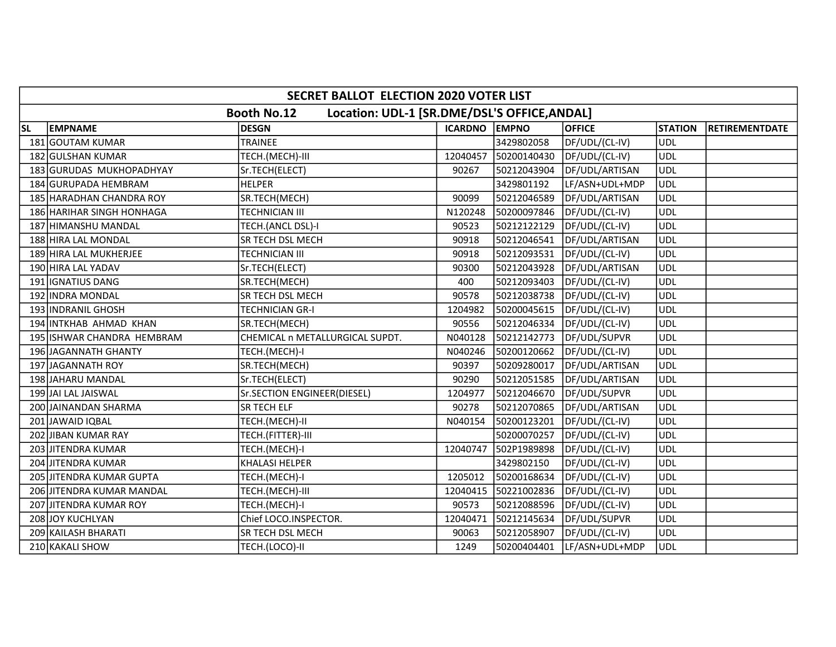|           | SECRET BALLOT ELECTION 2020 VOTER LIST                             |                                 |               |             |                |                |                       |  |  |  |  |
|-----------|--------------------------------------------------------------------|---------------------------------|---------------|-------------|----------------|----------------|-----------------------|--|--|--|--|
|           | Location: UDL-1 [SR.DME/DSL'S OFFICE, ANDAL]<br><b>Booth No.12</b> |                                 |               |             |                |                |                       |  |  |  |  |
| <b>SL</b> | <b>EMPNAME</b>                                                     | <b>DESGN</b>                    | ICARDNO EMPNO |             | <b>OFFICE</b>  | <b>STATION</b> | <b>RETIREMENTDATE</b> |  |  |  |  |
|           | 181 GOUTAM KUMAR                                                   | TRAINEE                         |               | 3429802058  | DF/UDL/(CL-IV) | UDL            |                       |  |  |  |  |
|           | 182 GULSHAN KUMAR                                                  | TECH.(MECH)-III                 | 12040457      | 50200140430 | DF/UDL/(CL-IV) | <b>UDL</b>     |                       |  |  |  |  |
|           | 183 GURUDAS MUKHOPADHYAY                                           | Sr.TECH(ELECT)                  | 90267         | 50212043904 | DF/UDL/ARTISAN | <b>UDL</b>     |                       |  |  |  |  |
|           | 184 GURUPADA HEMBRAM                                               | <b>HELPER</b>                   |               | 3429801192  | LF/ASN+UDL+MDP | <b>UDL</b>     |                       |  |  |  |  |
|           | 185 HARADHAN CHANDRA ROY                                           | SR.TECH(MECH)                   | 90099         | 50212046589 | DF/UDL/ARTISAN | <b>UDL</b>     |                       |  |  |  |  |
|           | 186 HARIHAR SINGH HONHAGA                                          | TECHNICIAN III                  | N120248       | 50200097846 | DF/UDL/(CL-IV) | <b>UDL</b>     |                       |  |  |  |  |
|           | 187 HIMANSHU MANDAL                                                | TECH.(ANCL DSL)-I               | 90523         | 50212122129 | DF/UDL/(CL-IV) | <b>UDL</b>     |                       |  |  |  |  |
|           | 188 HIRA LAL MONDAL                                                | SR TECH DSL MECH                | 90918         | 50212046541 | DF/UDL/ARTISAN | UDL            |                       |  |  |  |  |
|           | 189 HIRA LAL MUKHERJEE                                             | TECHNICIAN III                  | 90918         | 50212093531 | DF/UDL/(CL-IV) | <b>UDL</b>     |                       |  |  |  |  |
|           | 190 HIRA LAL YADAV                                                 | Sr.TECH(ELECT)                  | 90300         | 50212043928 | DF/UDL/ARTISAN | <b>UDL</b>     |                       |  |  |  |  |
|           | 191 IGNATIUS DANG                                                  | SR.TECH(MECH)                   | 400           | 50212093403 | DF/UDL/(CL-IV) | <b>UDL</b>     |                       |  |  |  |  |
|           | 192 INDRA MONDAL                                                   | SR TECH DSL MECH                | 90578         | 50212038738 | DF/UDL/(CL-IV) | <b>UDL</b>     |                       |  |  |  |  |
|           | 193 INDRANIL GHOSH                                                 | TECHNICIAN GR-I                 | 1204982       | 50200045615 | DF/UDL/(CL-IV) | <b>UDL</b>     |                       |  |  |  |  |
|           | 194 INTKHAB AHMAD KHAN                                             | SR.TECH(MECH)                   | 90556         | 50212046334 | DF/UDL/(CL-IV) | <b>UDL</b>     |                       |  |  |  |  |
|           | 195 ISHWAR CHANDRA HEMBRAM                                         | CHEMICAL n METALLURGICAL SUPDT. | N040128       | 50212142773 | DF/UDL/SUPVR   | <b>UDL</b>     |                       |  |  |  |  |
|           | 196 JAGANNATH GHANTY                                               | TECH.(MECH)-I                   | N040246       | 50200120662 | DF/UDL/(CL-IV) | <b>UDL</b>     |                       |  |  |  |  |
|           | 197 JAGANNATH ROY                                                  | SR.TECH(MECH)                   | 90397         | 50209280017 | DF/UDL/ARTISAN | UDL            |                       |  |  |  |  |
|           | 198 JAHARU MANDAL                                                  | Sr.TECH(ELECT)                  | 90290         | 50212051585 | DF/UDL/ARTISAN | <b>UDL</b>     |                       |  |  |  |  |
|           | 199 JAI LAL JAISWAL                                                | Sr.SECTION ENGINEER(DIESEL)     | 1204977       | 50212046670 | DF/UDL/SUPVR   | <b>UDL</b>     |                       |  |  |  |  |
|           | 200 JAINANDAN SHARMA                                               | SR TECH ELF                     | 90278         | 50212070865 | DF/UDL/ARTISAN | <b>UDL</b>     |                       |  |  |  |  |
|           | 201 JAWAID IQBAL                                                   | TECH.(MECH)-II                  | N040154       | 50200123201 | DF/UDL/(CL-IV) | <b>UDL</b>     |                       |  |  |  |  |
|           | 202 JIBAN KUMAR RAY                                                | TECH.(FITTER)-III               |               | 50200070257 | DF/UDL/(CL-IV) | <b>UDL</b>     |                       |  |  |  |  |
|           | 203 JITENDRA KUMAR                                                 | TECH.(MECH)-I                   | 12040747      | 502P1989898 | DF/UDL/(CL-IV) | <b>UDL</b>     |                       |  |  |  |  |
|           | 204 JITENDRA KUMAR                                                 | <b>KHALASI HELPER</b>           |               | 3429802150  | DF/UDL/(CL-IV) | UDL            |                       |  |  |  |  |
|           | 205 JITENDRA KUMAR GUPTA                                           | TECH.(MECH)-I                   | 1205012       | 50200168634 | DF/UDL/(CL-IV) | <b>UDL</b>     |                       |  |  |  |  |
|           | 206 JITENDRA KUMAR MANDAL                                          | TECH.(MECH)-III                 | 12040415      | 50221002836 | DF/UDL/(CL-IV) | <b>UDL</b>     |                       |  |  |  |  |
|           | 207 JITENDRA KUMAR ROY                                             | TECH.(MECH)-I                   | 90573         | 50212088596 | DF/UDL/(CL-IV) | <b>UDL</b>     |                       |  |  |  |  |
|           | 208 JOY KUCHLYAN                                                   | Chief LOCO.INSPECTOR.           | 12040471      | 50212145634 | DF/UDL/SUPVR   | <b>UDL</b>     |                       |  |  |  |  |
|           | 209 KAILASH BHARATI                                                | SR TECH DSL MECH                | 90063         | 50212058907 | DF/UDL/(CL-IV) | <b>UDL</b>     |                       |  |  |  |  |
|           | 210 KAKALI SHOW                                                    | TECH.(LOCO)-II                  | 1249          | 50200404401 | LF/ASN+UDL+MDP | <b>UDL</b>     |                       |  |  |  |  |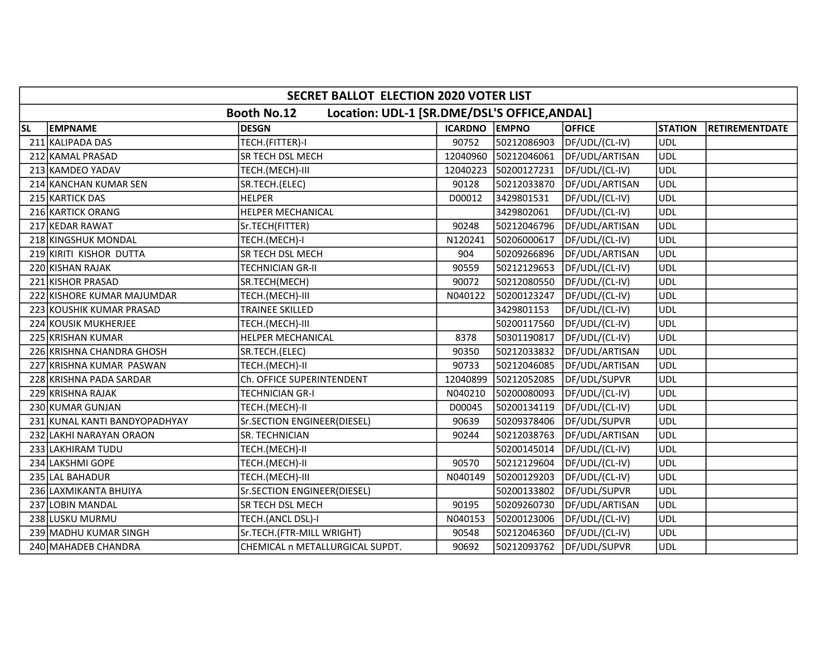|           | SECRET BALLOT ELECTION 2020 VOTER LIST                             |                                 |               |             |                |                |                       |  |  |  |
|-----------|--------------------------------------------------------------------|---------------------------------|---------------|-------------|----------------|----------------|-----------------------|--|--|--|
|           | Location: UDL-1 [SR.DME/DSL'S OFFICE, ANDAL]<br><b>Booth No.12</b> |                                 |               |             |                |                |                       |  |  |  |
| <b>SL</b> | <b>EMPNAME</b>                                                     | <b>DESGN</b>                    | ICARDNO EMPNO |             | <b>OFFICE</b>  | <b>STATION</b> | <b>RETIREMENTDATE</b> |  |  |  |
|           | 211 KALIPADA DAS                                                   | TECH.(FITTER)-I                 | 90752         | 50212086903 | DF/UDL/(CL-IV) | UDL            |                       |  |  |  |
|           | 212 KAMAL PRASAD                                                   | SR TECH DSL MECH                | 12040960      | 50212046061 | DF/UDL/ARTISAN | <b>UDL</b>     |                       |  |  |  |
|           | 213 KAMDEO YADAV                                                   | TECH.(MECH)-III                 | 12040223      | 50200127231 | DF/UDL/(CL-IV) | <b>UDL</b>     |                       |  |  |  |
|           | 214 KANCHAN KUMAR SEN                                              | SR.TECH.(ELEC)                  | 90128         | 50212033870 | DF/UDL/ARTISAN | <b>UDL</b>     |                       |  |  |  |
|           | 215 KARTICK DAS                                                    | <b>HELPER</b>                   | D00012        | 3429801531  | DF/UDL/(CL-IV) | <b>UDL</b>     |                       |  |  |  |
|           | 216 KARTICK ORANG                                                  | HELPER MECHANICAL               |               | 3429802061  | DF/UDL/(CL-IV) | <b>UDL</b>     |                       |  |  |  |
|           | 217 KEDAR RAWAT                                                    | Sr.TECH(FITTER)                 | 90248         | 50212046796 | DF/UDL/ARTISAN | <b>UDL</b>     |                       |  |  |  |
|           | 218 KINGSHUK MONDAL                                                | TECH.(MECH)-I                   | N120241       | 50206000617 | DF/UDL/(CL-IV) | UDL            |                       |  |  |  |
|           | 219 KIRITI KISHOR DUTTA                                            | SR TECH DSL MECH                | 904           | 50209266896 | DF/UDL/ARTISAN | <b>UDL</b>     |                       |  |  |  |
|           | 220 KISHAN RAJAK                                                   | TECHNICIAN GR-II                | 90559         | 50212129653 | DF/UDL/(CL-IV) | <b>UDL</b>     |                       |  |  |  |
|           | 221 KISHOR PRASAD                                                  | SR.TECH(MECH)                   | 90072         | 50212080550 | DF/UDL/(CL-IV) | <b>UDL</b>     |                       |  |  |  |
|           | 222 KISHORE KUMAR MAJUMDAR                                         | TECH.(MECH)-III                 | N040122       | 50200123247 | DF/UDL/(CL-IV) | <b>UDL</b>     |                       |  |  |  |
|           | 223 KOUSHIK KUMAR PRASAD                                           | TRAINEE SKILLED                 |               | 3429801153  | DF/UDL/(CL-IV) | <b>UDL</b>     |                       |  |  |  |
|           | 224 KOUSIK MUKHERJEE                                               | TECH.(MECH)-III                 |               | 50200117560 | DF/UDL/(CL-IV) | <b>UDL</b>     |                       |  |  |  |
|           | 225 KRISHAN KUMAR                                                  | HELPER MECHANICAL               | 8378          | 50301190817 | DF/UDL/(CL-IV) | <b>UDL</b>     |                       |  |  |  |
|           | 226 KRISHNA CHANDRA GHOSH                                          | SR.TECH.(ELEC)                  | 90350         | 50212033832 | DF/UDL/ARTISAN | <b>UDL</b>     |                       |  |  |  |
|           | 227 KRISHNA KUMAR PASWAN                                           | TECH.(MECH)-II                  | 90733         | 50212046085 | DF/UDL/ARTISAN | UDL            |                       |  |  |  |
|           | 228 KRISHNA PADA SARDAR                                            | Ch. OFFICE SUPERINTENDENT       | 12040899      | 50212052085 | DF/UDL/SUPVR   | UDL            |                       |  |  |  |
|           | 229 KRISHNA RAJAK                                                  | TECHNICIAN GR-I                 | N040210       | 50200080093 | DF/UDL/(CL-IV) | <b>UDL</b>     |                       |  |  |  |
|           | 230 KUMAR GUNJAN                                                   | TECH.(MECH)-II                  | D00045        | 50200134119 | DF/UDL/(CL-IV) | <b>UDL</b>     |                       |  |  |  |
|           | 231 KUNAL KANTI BANDYOPADHYAY                                      | Sr.SECTION ENGINEER(DIESEL)     | 90639         | 50209378406 | DF/UDL/SUPVR   | <b>UDL</b>     |                       |  |  |  |
|           | 232 LAKHI NARAYAN ORAON                                            | SR. TECHNICIAN                  | 90244         | 50212038763 | DF/UDL/ARTISAN | <b>UDL</b>     |                       |  |  |  |
|           | 233 LAKHIRAM TUDU                                                  | TECH.(MECH)-II                  |               | 50200145014 | DF/UDL/(CL-IV) | <b>UDL</b>     |                       |  |  |  |
|           | 234 LAKSHMI GOPE                                                   | TECH.(MECH)-II                  | 90570         | 50212129604 | DF/UDL/(CL-IV) | UDL            |                       |  |  |  |
|           | 235 LAL BAHADUR                                                    | TECH.(MECH)-III                 | N040149       | 50200129203 | DF/UDL/(CL-IV) | <b>UDL</b>     |                       |  |  |  |
|           | 236 LAXMIKANTA BHUIYA                                              | Sr.SECTION ENGINEER(DIESEL)     |               | 50200133802 | DF/UDL/SUPVR   | UDL            |                       |  |  |  |
|           | 237 LOBIN MANDAL                                                   | SR TECH DSL MECH                | 90195         | 50209260730 | DF/UDL/ARTISAN | <b>UDL</b>     |                       |  |  |  |
|           | 238 LUSKU MURMU                                                    | TECH.(ANCL DSL)-I               | N040153       | 50200123006 | DF/UDL/(CL-IV) | <b>UDL</b>     |                       |  |  |  |
|           | 239 MADHU KUMAR SINGH                                              | Sr.TECH.(FTR-MILL WRIGHT)       | 90548         | 50212046360 | DF/UDL/(CL-IV) | <b>UDL</b>     |                       |  |  |  |
|           | 240 MAHADEB CHANDRA                                                | CHEMICAL n METALLURGICAL SUPDT. | 90692         | 50212093762 | DF/UDL/SUPVR   | <b>UDL</b>     |                       |  |  |  |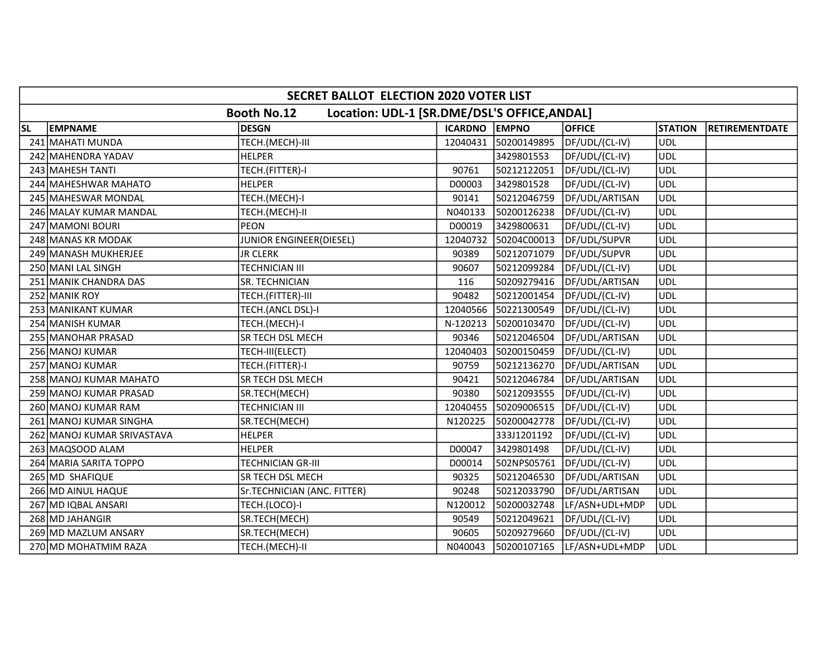|           | SECRET BALLOT ELECTION 2020 VOTER LIST                             |                                |               |             |                |                |                       |  |  |  |
|-----------|--------------------------------------------------------------------|--------------------------------|---------------|-------------|----------------|----------------|-----------------------|--|--|--|
|           | Location: UDL-1 [SR.DME/DSL'S OFFICE, ANDAL]<br><b>Booth No.12</b> |                                |               |             |                |                |                       |  |  |  |
| <b>SL</b> | <b>EMPNAME</b>                                                     | <b>DESGN</b>                   | ICARDNO EMPNO |             | <b>OFFICE</b>  | <b>STATION</b> | <b>RETIREMENTDATE</b> |  |  |  |
|           | 241 MAHATI MUNDA                                                   | TECH.(MECH)-III                | 12040431      | 50200149895 | DF/UDL/(CL-IV) | UDL            |                       |  |  |  |
|           | 242 MAHENDRA YADAV                                                 | <b>HELPER</b>                  |               | 3429801553  | DF/UDL/(CL-IV) | <b>UDL</b>     |                       |  |  |  |
|           | 243 MAHESH TANTI                                                   | TECH.(FITTER)-I                | 90761         | 50212122051 | DF/UDL/(CL-IV) | <b>UDL</b>     |                       |  |  |  |
|           | 244 MAHESHWAR MAHATO                                               | <b>HELPER</b>                  | D00003        | 3429801528  | DF/UDL/(CL-IV) | <b>UDL</b>     |                       |  |  |  |
|           | 245 MAHESWAR MONDAL                                                | TECH.(MECH)-I                  | 90141         | 50212046759 | DF/UDL/ARTISAN | <b>UDL</b>     |                       |  |  |  |
|           | 246 MALAY KUMAR MANDAL                                             | TECH.(MECH)-II                 | N040133       | 50200126238 | DF/UDL/(CL-IV) | <b>UDL</b>     |                       |  |  |  |
|           | 247 MAMONI BOURI                                                   | <b>PEON</b>                    | D00019        | 3429800631  | DF/UDL/(CL-IV) | <b>UDL</b>     |                       |  |  |  |
|           | 248 MANAS KR MODAK                                                 | <b>JUNIOR ENGINEER(DIESEL)</b> | 12040732      | 50204C00013 | DF/UDL/SUPVR   | UDL            |                       |  |  |  |
|           | 249 MANASH MUKHERJEE                                               | <b>JR CLERK</b>                | 90389         | 50212071079 | DF/UDL/SUPVR   | <b>UDL</b>     |                       |  |  |  |
|           | 250 MANI LAL SINGH                                                 | TECHNICIAN III                 | 90607         | 50212099284 | DF/UDL/(CL-IV) | UDL            |                       |  |  |  |
|           | 251 MANIK CHANDRA DAS                                              | SR. TECHNICIAN                 | 116           | 50209279416 | DF/UDL/ARTISAN | <b>UDL</b>     |                       |  |  |  |
|           | 252 MANIK ROY                                                      | TECH.(FITTER)-III              | 90482         | 50212001454 | DF/UDL/(CL-IV) | <b>UDL</b>     |                       |  |  |  |
|           | 253 MANIKANT KUMAR                                                 | TECH.(ANCL DSL)-I              | 12040566      | 50221300549 | DF/UDL/(CL-IV) | <b>UDL</b>     |                       |  |  |  |
|           | 254 MANISH KUMAR                                                   | TECH.(MECH)-I                  | N-120213      | 50200103470 | DF/UDL/(CL-IV) | <b>UDL</b>     |                       |  |  |  |
|           | 255 MANOHAR PRASAD                                                 | SR TECH DSL MECH               | 90346         | 50212046504 | DF/UDL/ARTISAN | <b>UDL</b>     |                       |  |  |  |
|           | 256 MANOJ KUMAR                                                    | TECH-III(ELECT)                | 12040403      | 50200150459 | DF/UDL/(CL-IV) | <b>UDL</b>     |                       |  |  |  |
|           | 257 MANOJ KUMAR                                                    | TECH.(FITTER)-I                | 90759         | 50212136270 | DF/UDL/ARTISAN | <b>UDL</b>     |                       |  |  |  |
|           | 258 MANOJ KUMAR MAHATO                                             | SR TECH DSL MECH               | 90421         | 50212046784 | DF/UDL/ARTISAN | <b>UDL</b>     |                       |  |  |  |
|           | 259 MANOJ KUMAR PRASAD                                             | SR.TECH(MECH)                  | 90380         | 50212093555 | DF/UDL/(CL-IV) | <b>UDL</b>     |                       |  |  |  |
|           | 260 MANOJ KUMAR RAM                                                | TECHNICIAN III                 | 12040455      | 50209006515 | DF/UDL/(CL-IV) | <b>UDL</b>     |                       |  |  |  |
|           | 261 MANOJ KUMAR SINGHA                                             | SR.TECH(MECH)                  | N120225       | 50200042778 | DF/UDL/(CL-IV) | <b>UDL</b>     |                       |  |  |  |
|           | 262 MANOJ KUMAR SRIVASTAVA                                         | <b>HELPER</b>                  |               | 333J1201192 | DF/UDL/(CL-IV) | <b>UDL</b>     |                       |  |  |  |
|           | 263 MAQSOOD ALAM                                                   | <b>HELPER</b>                  | D00047        | 3429801498  | DF/UDL/(CL-IV) | <b>UDL</b>     |                       |  |  |  |
|           | 264 MARIA SARITA TOPPO                                             | TECHNICIAN GR-III              | D00014        | 502NPS05761 | DF/UDL/(CL-IV) | UDL            |                       |  |  |  |
|           | 265 MD SHAFIQUE                                                    | SR TECH DSL MECH               | 90325         | 50212046530 | DF/UDL/ARTISAN | <b>UDL</b>     |                       |  |  |  |
|           | 266 MD AINUL HAQUE                                                 | Sr.TECHNICIAN (ANC. FITTER)    | 90248         | 50212033790 | DF/UDL/ARTISAN | <b>UDL</b>     |                       |  |  |  |
|           | 267 MD IQBAL ANSARI                                                | TECH.(LOCO)-I                  | N120012       | 50200032748 | LF/ASN+UDL+MDP | <b>UDL</b>     |                       |  |  |  |
|           | 268 MD JAHANGIR                                                    | SR.TECH(MECH)                  | 90549         | 50212049621 | DF/UDL/(CL-IV) | <b>UDL</b>     |                       |  |  |  |
|           | 269 MD MAZLUM ANSARY                                               | SR.TECH(MECH)                  | 90605         | 50209279660 | DF/UDL/(CL-IV) | <b>UDL</b>     |                       |  |  |  |
|           | 270 MD MOHATMIM RAZA                                               | TECH.(MECH)-II                 | N040043       | 50200107165 | LF/ASN+UDL+MDP | <b>UDL</b>     |                       |  |  |  |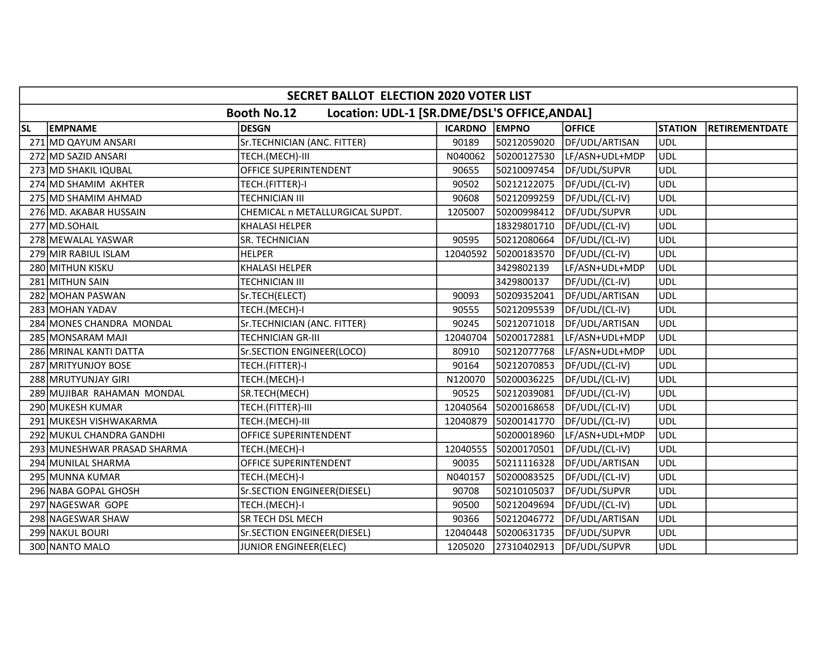|           | SECRET BALLOT ELECTION 2020 VOTER LIST                             |                                 |               |             |                |                |                       |  |  |  |
|-----------|--------------------------------------------------------------------|---------------------------------|---------------|-------------|----------------|----------------|-----------------------|--|--|--|
|           | Location: UDL-1 [SR.DME/DSL'S OFFICE, ANDAL]<br><b>Booth No.12</b> |                                 |               |             |                |                |                       |  |  |  |
| <b>SL</b> | <b>EMPNAME</b>                                                     | <b>DESGN</b>                    | ICARDNO EMPNO |             | <b>OFFICE</b>  | <b>STATION</b> | <b>RETIREMENTDATE</b> |  |  |  |
|           | 271 MD QAYUM ANSARI                                                | Sr.TECHNICIAN (ANC. FITTER)     | 90189         | 50212059020 | DF/UDL/ARTISAN | UDL            |                       |  |  |  |
|           | 272 MD SAZID ANSARI                                                | TECH.(MECH)-III                 | N040062       | 50200127530 | LF/ASN+UDL+MDP | <b>UDL</b>     |                       |  |  |  |
|           | 273 MD SHAKIL IQUBAL                                               | OFFICE SUPERINTENDENT           | 90655         | 50210097454 | DF/UDL/SUPVR   | <b>UDL</b>     |                       |  |  |  |
|           | 274 MD SHAMIM AKHTER                                               | TECH.(FITTER)-I                 | 90502         | 50212122075 | DF/UDL/(CL-IV) | <b>UDL</b>     |                       |  |  |  |
|           | 275 MD SHAMIM AHMAD                                                | TECHNICIAN III                  | 90608         | 50212099259 | DF/UDL/(CL-IV) | <b>UDL</b>     |                       |  |  |  |
|           | 276 MD. AKABAR HUSSAIN                                             | CHEMICAL n METALLURGICAL SUPDT. | 1205007       | 50200998412 | DF/UDL/SUPVR   | <b>UDL</b>     |                       |  |  |  |
|           | 277 MD.SOHAIL                                                      | <b>KHALASI HELPER</b>           |               | 18329801710 | DF/UDL/(CL-IV) | <b>UDL</b>     |                       |  |  |  |
|           | 278 MEWALAL YASWAR                                                 | SR. TECHNICIAN                  | 90595         | 50212080664 | DF/UDL/(CL-IV) | <b>UDL</b>     |                       |  |  |  |
|           | 279 MIR RABIUL ISLAM                                               | <b>HELPER</b>                   | 12040592      | 50200183570 | DF/UDL/(CL-IV) | <b>UDL</b>     |                       |  |  |  |
|           | 280 MITHUN KISKU                                                   | <b>KHALASI HELPER</b>           |               | 3429802139  | LF/ASN+UDL+MDP | <b>UDL</b>     |                       |  |  |  |
|           | 281 MITHUN SAIN                                                    | TECHNICIAN III                  |               | 3429800137  | DF/UDL/(CL-IV) | <b>UDL</b>     |                       |  |  |  |
|           | 282 MOHAN PASWAN                                                   | Sr.TECH(ELECT)                  | 90093         | 50209352041 | DF/UDL/ARTISAN | <b>UDL</b>     |                       |  |  |  |
|           | 283 MOHAN YADAV                                                    | TECH.(MECH)-I                   | 90555         | 50212095539 | DF/UDL/(CL-IV) | <b>UDL</b>     |                       |  |  |  |
|           | 284 MONES CHANDRA MONDAL                                           | Sr.TECHNICIAN (ANC. FITTER)     | 90245         | 50212071018 | DF/UDL/ARTISAN | <b>UDL</b>     |                       |  |  |  |
|           | 285 MONSARAM MAJI                                                  | TECHNICIAN GR-III               | 12040704      | 50200172881 | LF/ASN+UDL+MDP | <b>UDL</b>     |                       |  |  |  |
|           | 286 MRINAL KANTI DATTA                                             | Sr.SECTION ENGINEER(LOCO)       | 80910         | 50212077768 | LF/ASN+UDL+MDP | <b>UDL</b>     |                       |  |  |  |
|           | 287 MRITYUNJOY BOSE                                                | TECH.(FITTER)-I                 | 90164         | 50212070853 | DF/UDL/(CL-IV) | UDL            |                       |  |  |  |
|           | 288 MRUTYUNJAY GIRI                                                | TECH.(MECH)-I                   | N120070       | 50200036225 | DF/UDL/(CL-IV) | <b>UDL</b>     |                       |  |  |  |
|           | 289 MUJIBAR RAHAMAN MONDAL                                         | SR.TECH(MECH)                   | 90525         | 50212039081 | DF/UDL/(CL-IV) | <b>UDL</b>     |                       |  |  |  |
|           | 290 MUKESH KUMAR                                                   | TECH.(FITTER)-III               | 12040564      | 50200168658 | DF/UDL/(CL-IV) | <b>UDL</b>     |                       |  |  |  |
|           | 291 MUKESH VISHWAKARMA                                             | TECH.(MECH)-III                 | 12040879      | 50200141770 | DF/UDL/(CL-IV) | <b>UDL</b>     |                       |  |  |  |
|           | 292 MUKUL CHANDRA GANDHI                                           | OFFICE SUPERINTENDENT           |               | 50200018960 | LF/ASN+UDL+MDP | <b>UDL</b>     |                       |  |  |  |
|           | 293 MUNESHWAR PRASAD SHARMA                                        | TECH.(MECH)-I                   | 12040555      | 50200170501 | DF/UDL/(CL-IV) | <b>UDL</b>     |                       |  |  |  |
|           | 294 MUNILAL SHARMA                                                 | OFFICE SUPERINTENDENT           | 90035         | 50211116328 | DF/UDL/ARTISAN | <b>UDL</b>     |                       |  |  |  |
|           | 295 MUNNA KUMAR                                                    | TECH.(MECH)-I                   | N040157       | 50200083525 | DF/UDL/(CL-IV) | <b>UDL</b>     |                       |  |  |  |
|           | 296 NABA GOPAL GHOSH                                               | Sr.SECTION ENGINEER(DIESEL)     | 90708         | 50210105037 | DF/UDL/SUPVR   | UDL            |                       |  |  |  |
|           | 297 NAGESWAR GOPE                                                  | TECH.(MECH)-I                   | 90500         | 50212049694 | DF/UDL/(CL-IV) | UDL            |                       |  |  |  |
|           | 298 NAGESWAR SHAW                                                  | SR TECH DSL MECH                | 90366         | 50212046772 | DF/UDL/ARTISAN | <b>UDL</b>     |                       |  |  |  |
|           | 299 NAKUL BOURI                                                    | Sr.SECTION ENGINEER(DIESEL)     | 12040448      | 50200631735 | DF/UDL/SUPVR   | <b>UDL</b>     |                       |  |  |  |
|           | 300 NANTO MALO                                                     | JUNIOR ENGINEER(ELEC)           | 1205020       | 27310402913 | DF/UDL/SUPVR   | <b>UDL</b>     |                       |  |  |  |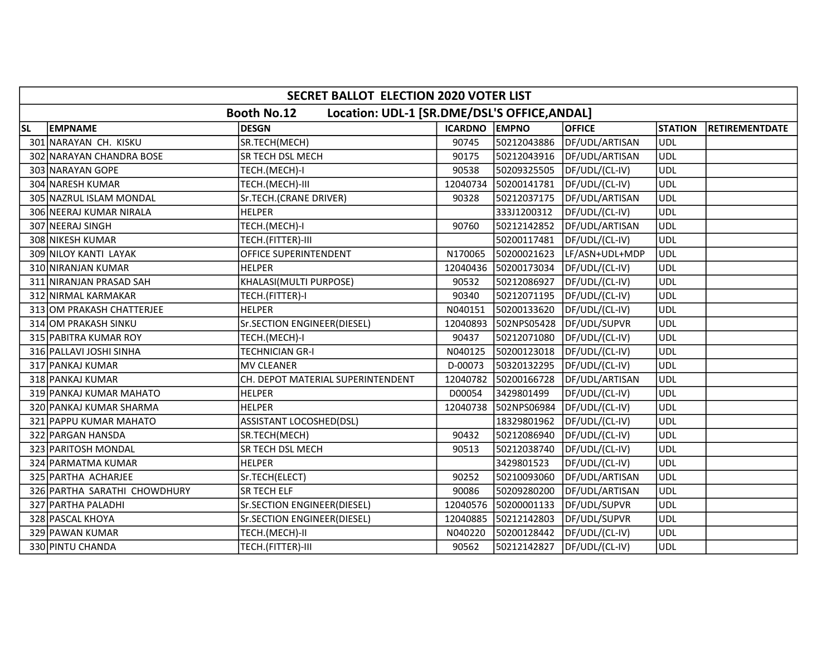|           | SECRET BALLOT ELECTION 2020 VOTER LIST                             |                                   |               |             |                |                |                       |  |  |  |
|-----------|--------------------------------------------------------------------|-----------------------------------|---------------|-------------|----------------|----------------|-----------------------|--|--|--|
|           | Location: UDL-1 [SR.DME/DSL'S OFFICE, ANDAL]<br><b>Booth No.12</b> |                                   |               |             |                |                |                       |  |  |  |
| <b>SL</b> | <b>EMPNAME</b>                                                     | <b>DESGN</b>                      | ICARDNO EMPNO |             | <b>OFFICE</b>  | <b>STATION</b> | <b>RETIREMENTDATE</b> |  |  |  |
|           | 301 NARAYAN CH. KISKU                                              | SR.TECH(MECH)                     | 90745         | 50212043886 | DF/UDL/ARTISAN | UDL            |                       |  |  |  |
| 302       | NARAYAN CHANDRA BOSE                                               | SR TECH DSL MECH                  | 90175         | 50212043916 | DF/UDL/ARTISAN | <b>UDL</b>     |                       |  |  |  |
|           | 303 NARAYAN GOPE                                                   | TECH.(MECH)-I                     | 90538         | 50209325505 | DF/UDL/(CL-IV) | UDL            |                       |  |  |  |
|           | 304 NARESH KUMAR                                                   | TECH.(MECH)-III                   | 12040734      | 50200141781 | DF/UDL/(CL-IV) | <b>UDL</b>     |                       |  |  |  |
|           | 305 NAZRUL ISLAM MONDAL                                            | Sr.TECH.(CRANE DRIVER)            | 90328         | 50212037175 | DF/UDL/ARTISAN | <b>UDL</b>     |                       |  |  |  |
|           | 306 NEERAJ KUMAR NIRALA                                            | <b>HELPER</b>                     |               | 333J1200312 | DF/UDL/(CL-IV) | <b>UDL</b>     |                       |  |  |  |
|           | 307 NEERAJ SINGH                                                   | TECH.(MECH)-I                     | 90760         | 50212142852 | DF/UDL/ARTISAN | UDL            |                       |  |  |  |
|           | 308 NIKESH KUMAR                                                   | TECH.(FITTER)-III                 |               | 50200117481 | DF/UDL/(CL-IV) | ludl           |                       |  |  |  |
|           | 309 NILOY KANTI LAYAK                                              | OFFICE SUPERINTENDENT             | N170065       | 50200021623 | LF/ASN+UDL+MDP | <b>UDL</b>     |                       |  |  |  |
|           | 310 NIRANJAN KUMAR                                                 | <b>HELPER</b>                     | 12040436      | 50200173034 | DF/UDL/(CL-IV) | UDL            |                       |  |  |  |
|           | 311 NIRANJAN PRASAD SAH                                            | KHALASI(MULTI PURPOSE)            | 90532         | 50212086927 | DF/UDL/(CL-IV) | <b>UDL</b>     |                       |  |  |  |
|           | 312 NIRMAL KARMAKAR                                                | TECH.(FITTER)-I                   | 90340         | 50212071195 | DF/UDL/(CL-IV) | UDL            |                       |  |  |  |
|           | 313 OM PRAKASH CHATTERJEE                                          | <b>HELPER</b>                     | N040151       | 50200133620 | DF/UDL/(CL-IV) | <b>UDL</b>     |                       |  |  |  |
|           | 314 OM PRAKASH SINKU                                               | Sr.SECTION ENGINEER(DIESEL)       | 12040893      | 502NPS05428 | DF/UDL/SUPVR   | <b>UDL</b>     |                       |  |  |  |
|           | 315 PABITRA KUMAR ROY                                              | TECH.(MECH)-I                     | 90437         | 50212071080 | DF/UDL/(CL-IV) | UDL            |                       |  |  |  |
|           | 316 PALLAVI JOSHI SINHA                                            | <b>TECHNICIAN GR-I</b>            | N040125       | 50200123018 | DF/UDL/(CL-IV) | <b>UDL</b>     |                       |  |  |  |
|           | 317 PANKAJ KUMAR                                                   | <b>MV CLEANER</b>                 | D-00073       | 50320132295 | DF/UDL/(CL-IV) | UDL)           |                       |  |  |  |
|           | 318 PANKAJ KUMAR                                                   | CH. DEPOT MATERIAL SUPERINTENDENT | 12040782      | 50200166728 | DF/UDL/ARTISAN | <b>UDL</b>     |                       |  |  |  |
|           | 319 PANKAJ KUMAR MAHATO                                            | <b>HELPER</b>                     | D00054        | 3429801499  | DF/UDL/(CL-IV) | <b>UDL</b>     |                       |  |  |  |
|           | 320 PANKAJ KUMAR SHARMA                                            | <b>HELPER</b>                     | 12040738      | 502NPS06984 | DF/UDL/(CL-IV) | <b>UDL</b>     |                       |  |  |  |
|           | 321 PAPPU KUMAR MAHATO                                             | <b>ASSISTANT LOCOSHED(DSL)</b>    |               | 18329801962 | DF/UDL/(CL-IV) | <b>UDL</b>     |                       |  |  |  |
|           | 322 PARGAN HANSDA                                                  | SR.TECH(MECH)                     | 90432         | 50212086940 | DF/UDL/(CL-IV) | <b>UDL</b>     |                       |  |  |  |
|           | 323 PARITOSH MONDAL                                                | SR TECH DSL MECH                  | 90513         | 50212038740 | DF/UDL/(CL-IV) | <b>UDL</b>     |                       |  |  |  |
|           | 324 PARMATMA KUMAR                                                 | <b>HELPER</b>                     |               | 3429801523  | DF/UDL/(CL-IV) | <b>UDL</b>     |                       |  |  |  |
|           | 325 PARTHA ACHARJEE                                                | Sr.TECH(ELECT)                    | 90252         | 50210093060 | DF/UDL/ARTISAN | <b>UDL</b>     |                       |  |  |  |
|           | 326 PARTHA SARATHI CHOWDHURY                                       | SR TECH ELF                       | 90086         | 50209280200 | DF/UDL/ARTISAN | UDL)           |                       |  |  |  |
|           | 327 PARTHA PALADHI                                                 | Sr.SECTION ENGINEER(DIESEL)       | 12040576      | 50200001133 | DF/UDL/SUPVR   | <b>UDL</b>     |                       |  |  |  |
|           | 328 PASCAL KHOYA                                                   | Sr.SECTION ENGINEER(DIESEL)       | 12040885      | 50212142803 | DF/UDL/SUPVR   | <b>UDL</b>     |                       |  |  |  |
|           | 329 PAWAN KUMAR                                                    | TECH.(MECH)-II                    | N040220       | 50200128442 | DF/UDL/(CL-IV) | <b>UDL</b>     |                       |  |  |  |
|           | 330 PINTU CHANDA                                                   | TECH.(FITTER)-III                 | 90562         | 50212142827 | DF/UDL/(CL-IV) | <b>UDL</b>     |                       |  |  |  |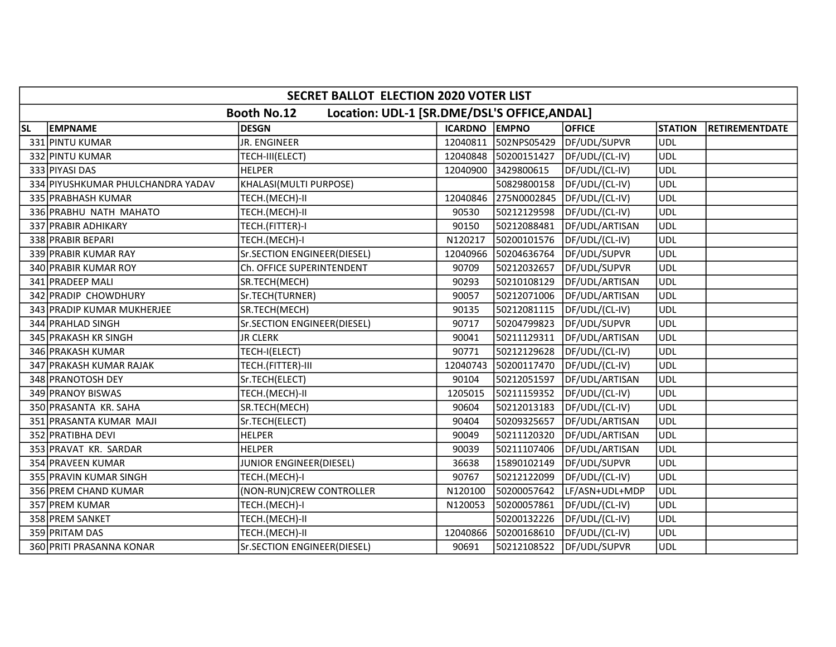|           | SECRET BALLOT ELECTION 2020 VOTER LIST                             |                             |               |             |                |                |                       |  |  |  |
|-----------|--------------------------------------------------------------------|-----------------------------|---------------|-------------|----------------|----------------|-----------------------|--|--|--|
|           | Location: UDL-1 [SR.DME/DSL'S OFFICE, ANDAL]<br><b>Booth No.12</b> |                             |               |             |                |                |                       |  |  |  |
| <b>SL</b> | <b>EMPNAME</b>                                                     | <b>DESGN</b>                | ICARDNO EMPNO |             | <b>OFFICE</b>  | <b>STATION</b> | <b>RETIREMENTDATE</b> |  |  |  |
|           | 331 PINTU KUMAR                                                    | JR. ENGINEER                | 12040811      | 502NPS05429 | DF/UDL/SUPVR   | UDL            |                       |  |  |  |
|           | 332 PINTU KUMAR                                                    | TECH-III(ELECT)             | 12040848      | 50200151427 | DF/UDL/(CL-IV) | <b>UDL</b>     |                       |  |  |  |
|           | 333 PIYASI DAS                                                     | <b>HELPER</b>               | 12040900      | 3429800615  | DF/UDL/(CL-IV) | UDL            |                       |  |  |  |
|           | 334 PIYUSHKUMAR PHULCHANDRA YADAV                                  | KHALASI(MULTI PURPOSE)      |               | 50829800158 | DF/UDL/(CL-IV) | <b>UDL</b>     |                       |  |  |  |
|           | 335 PRABHASH KUMAR                                                 | TECH.(MECH)-II              | 12040846      | 275N0002845 | DF/UDL/(CL-IV) | <b>UDL</b>     |                       |  |  |  |
|           | 336 PRABHU NATH MAHATO                                             | TECH.(MECH)-II              | 90530         | 50212129598 | DF/UDL/(CL-IV) | <b>UDL</b>     |                       |  |  |  |
|           | 337 PRABIR ADHIKARY                                                | TECH.(FITTER)-I             | 90150         | 50212088481 | DF/UDL/ARTISAN | <b>UDL</b>     |                       |  |  |  |
|           | 338 PRABIR BEPARI                                                  | TECH.(MECH)-I               | N120217       | 50200101576 | DF/UDL/(CL-IV) | <b>UDL</b>     |                       |  |  |  |
|           | 339 PRABIR KUMAR RAY                                               | Sr.SECTION ENGINEER(DIESEL) | 12040966      | 50204636764 | DF/UDL/SUPVR   | UDL            |                       |  |  |  |
|           | 340 PRABIR KUMAR ROY                                               | Ch. OFFICE SUPERINTENDENT   | 90709         | 50212032657 | DF/UDL/SUPVR   | <b>UDL</b>     |                       |  |  |  |
|           | 341 PRADEEP MALI                                                   | SR.TECH(MECH)               | 90293         | 50210108129 | DF/UDL/ARTISAN | <b>UDL</b>     |                       |  |  |  |
|           | 342 PRADIP CHOWDHURY                                               | Sr.TECH(TURNER)             | 90057         | 50212071006 | DF/UDL/ARTISAN | UDL            |                       |  |  |  |
|           | 343 PRADIP KUMAR MUKHERJEE                                         | SR.TECH(MECH)               | 90135         | 50212081115 | DF/UDL/(CL-IV) | <b>UDL</b>     |                       |  |  |  |
|           | 344 PRAHLAD SINGH                                                  | Sr.SECTION ENGINEER(DIESEL) | 90717         | 50204799823 | DF/UDL/SUPVR   | <b>UDL</b>     |                       |  |  |  |
|           | 345 PRAKASH KR SINGH                                               | <b>JR CLERK</b>             | 90041         | 50211129311 | DF/UDL/ARTISAN | UDL            |                       |  |  |  |
|           | 346 PRAKASH KUMAR                                                  | TECH-I(ELECT)               | 90771         | 50212129628 | DF/UDL/(CL-IV) | <b>UDL</b>     |                       |  |  |  |
|           | 347 PRAKASH KUMAR RAJAK                                            | TECH.(FITTER)-III           | 12040743      | 50200117470 | DF/UDL/(CL-IV) | <b>UDL</b>     |                       |  |  |  |
|           | 348 PRANOTOSH DEY                                                  | Sr.TECH(ELECT)              | 90104         | 50212051597 | DF/UDL/ARTISAN | <b>UDL</b>     |                       |  |  |  |
|           | 349 PRANOY BISWAS                                                  | TECH.(MECH)-II              | 1205015       | 50211159352 | DF/UDL/(CL-IV) | <b>UDL</b>     |                       |  |  |  |
|           | 350 PRASANTA KR. SAHA                                              | SR.TECH(MECH)               | 90604         | 50212013183 | DF/UDL/(CL-IV) | <b>UDL</b>     |                       |  |  |  |
|           | 351 PRASANTA KUMAR MAJI                                            | Sr.TECH(ELECT)              | 90404         | 50209325657 | DF/UDL/ARTISAN | <b>UDL</b>     |                       |  |  |  |
|           | 352 PRATIBHA DEVI                                                  | <b>HELPER</b>               | 90049         | 50211120320 | DF/UDL/ARTISAN | <b>UDL</b>     |                       |  |  |  |
|           | 353 PRAVAT KR. SARDAR                                              | <b>HELPER</b>               | 90039         | 50211107406 | DF/UDL/ARTISAN | <b>UDL</b>     |                       |  |  |  |
|           | 354 PRAVEEN KUMAR                                                  | JUNIOR ENGINEER(DIESEL)     | 36638         | 15890102149 | DF/UDL/SUPVR   | <b>UDL</b>     |                       |  |  |  |
|           | 355 PRAVIN KUMAR SINGH                                             | TECH.(MECH)-I               | 90767         | 50212122099 | DF/UDL/(CL-IV) | <b>UDL</b>     |                       |  |  |  |
|           | 356 PREM CHAND KUMAR                                               | (NON-RUN)CREW CONTROLLER    | N120100       | 50200057642 | LF/ASN+UDL+MDP | UDL            |                       |  |  |  |
|           | 357 PREM KUMAR                                                     | TECH.(MECH)-I               | N120053       | 50200057861 | DF/UDL/(CL-IV) | <b>UDL</b>     |                       |  |  |  |
|           | 358 PREM SANKET                                                    | TECH.(MECH)-II              |               | 50200132226 | DF/UDL/(CL-IV) | <b>UDL</b>     |                       |  |  |  |
|           | 359 PRITAM DAS                                                     | TECH.(MECH)-II              | 12040866      | 50200168610 | DF/UDL/(CL-IV) | <b>UDL</b>     |                       |  |  |  |
|           | 360 PRITI PRASANNA KONAR                                           | Sr.SECTION ENGINEER(DIESEL) | 90691         | 50212108522 | DF/UDL/SUPVR   | <b>UDL</b>     |                       |  |  |  |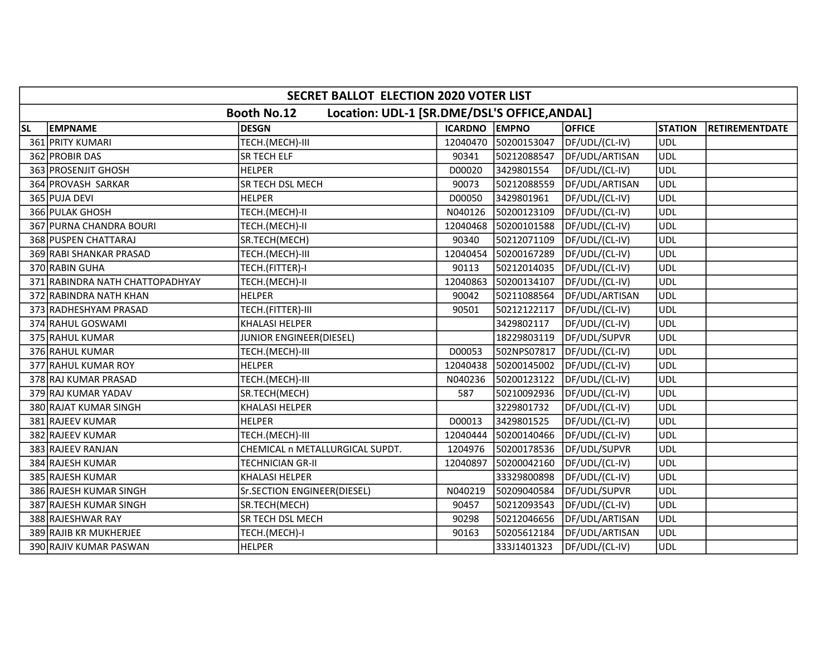|           | SECRET BALLOT ELECTION 2020 VOTER LIST                             |                                 |               |             |                |                |                       |  |  |
|-----------|--------------------------------------------------------------------|---------------------------------|---------------|-------------|----------------|----------------|-----------------------|--|--|
|           | Location: UDL-1 [SR.DME/DSL'S OFFICE, ANDAL]<br><b>Booth No.12</b> |                                 |               |             |                |                |                       |  |  |
| <b>SL</b> | <b>EMPNAME</b>                                                     | <b>DESGN</b>                    | ICARDNO EMPNO |             | <b>OFFICE</b>  | <b>STATION</b> | <b>RETIREMENTDATE</b> |  |  |
|           | 361 PRITY KUMARI                                                   | TECH.(MECH)-III                 | 12040470      | 50200153047 | DF/UDL/(CL-IV) | UDL            |                       |  |  |
|           | 362 PROBIR DAS                                                     | SR TECH ELF                     | 90341         | 50212088547 | DF/UDL/ARTISAN | <b>UDL</b>     |                       |  |  |
|           | 363 PROSENJIT GHOSH                                                | <b>HELPER</b>                   | D00020        | 3429801554  | DF/UDL/(CL-IV) | UDL            |                       |  |  |
|           | 364 PROVASH SARKAR                                                 | SR TECH DSL MECH                | 90073         | 50212088559 | DF/UDL/ARTISAN | <b>UDL</b>     |                       |  |  |
|           | 365 PUJA DEVI                                                      | <b>HELPER</b>                   | D00050        | 3429801961  | DF/UDL/(CL-IV) | <b>UDL</b>     |                       |  |  |
|           | 366 PULAK GHOSH                                                    | TECH.(MECH)-II                  | N040126       | 50200123109 | DF/UDL/(CL-IV) | <b>UDL</b>     |                       |  |  |
|           | 367 PURNA CHANDRA BOURI                                            | TECH.(MECH)-II                  | 12040468      | 50200101588 | DF/UDL/(CL-IV) | <b>UDL</b>     |                       |  |  |
|           | 368 PUSPEN CHATTARAJ                                               | SR.TECH(MECH)                   | 90340         | 50212071109 | DF/UDL/(CL-IV) | UDL            |                       |  |  |
|           | 369 RABI SHANKAR PRASAD                                            | TECH.(MECH)-III                 | 12040454      | 50200167289 | DF/UDL/(CL-IV) | <b>UDL</b>     |                       |  |  |
|           | 370 RABIN GUHA                                                     | TECH.(FITTER)-I                 | 90113         | 50212014035 | DF/UDL/(CL-IV) | <b>UDL</b>     |                       |  |  |
|           | 371 RABINDRA NATH CHATTOPADHYAY                                    | TECH.(MECH)-II                  | 12040863      | 50200134107 | DF/UDL/(CL-IV) | <b>UDL</b>     |                       |  |  |
|           | 372 RABINDRA NATH KHAN                                             | <b>HELPER</b>                   | 90042         | 50211088564 | DF/UDL/ARTISAN | UDL            |                       |  |  |
|           | 373 RADHESHYAM PRASAD                                              | TECH.(FITTER)-III               | 90501         | 50212122117 | DF/UDL/(CL-IV) | <b>UDL</b>     |                       |  |  |
|           | 374 RAHUL GOSWAMI                                                  | <b>KHALASI HELPER</b>           |               | 3429802117  | DF/UDL/(CL-IV) | <b>UDL</b>     |                       |  |  |
|           | 375 RAHUL KUMAR                                                    | JUNIOR ENGINEER(DIESEL)         |               | 18229803119 | DF/UDL/SUPVR   | UDL            |                       |  |  |
|           | 376 RAHUL KUMAR                                                    | TECH.(MECH)-III                 | D00053        | 502NPS07817 | DF/UDL/(CL-IV) | <b>UDL</b>     |                       |  |  |
|           | 377 RAHUL KUMAR ROY                                                | <b>HELPER</b>                   | 12040438      | 50200145002 | DF/UDL/(CL-IV) | UDL            |                       |  |  |
|           | 378 RAJ KUMAR PRASAD                                               | TECH.(MECH)-III                 | N040236       | 50200123122 | DF/UDL/(CL-IV) | <b>UDL</b>     |                       |  |  |
|           | 379 RAJ KUMAR YADAV                                                | SR.TECH(MECH)                   | 587           | 50210092936 | DF/UDL/(CL-IV) | <b>UDL</b>     |                       |  |  |
|           | 380 RAJAT KUMAR SINGH                                              | KHALASI HELPER                  |               | 3229801732  | DF/UDL/(CL-IV) | <b>UDL</b>     |                       |  |  |
|           | 381 RAJEEV KUMAR                                                   | <b>HELPER</b>                   | D00013        | 3429801525  | DF/UDL/(CL-IV) | <b>UDL</b>     |                       |  |  |
|           | 382 RAJEEV KUMAR                                                   | TECH.(MECH)-III                 | 12040444      | 50200140466 | DF/UDL/(CL-IV) | <b>UDL</b>     |                       |  |  |
|           | 383 RAJEEV RANJAN                                                  | CHEMICAL n METALLURGICAL SUPDT. | 1204976       | 50200178536 | DF/UDL/SUPVR   | <b>UDL</b>     |                       |  |  |
|           | 384 RAJESH KUMAR                                                   | TECHNICIAN GR-II                | 12040897      | 50200042160 | DF/UDL/(CL-IV) | <b>UDL</b>     |                       |  |  |
|           | 385 RAJESH KUMAR                                                   | <b>KHALASI HELPER</b>           |               | 33329800898 | DF/UDL/(CL-IV) | <b>UDL</b>     |                       |  |  |
|           | 386 RAJESH KUMAR SINGH                                             | Sr.SECTION ENGINEER(DIESEL)     | N040219       | 50209040584 | DF/UDL/SUPVR   | UDL            |                       |  |  |
|           | 387 RAJESH KUMAR SINGH                                             | SR.TECH(MECH)                   | 90457         | 50212093543 | DF/UDL/(CL-IV) | <b>UDL</b>     |                       |  |  |
|           | 388 RAJESHWAR RAY                                                  | SR TECH DSL MECH                | 90298         | 50212046656 | DF/UDL/ARTISAN | <b>UDL</b>     |                       |  |  |
|           | 389 RAJIB KR MUKHERJEE                                             | TECH.(MECH)-I                   | 90163         | 50205612184 | DF/UDL/ARTISAN | <b>UDL</b>     |                       |  |  |
|           | 390 RAJIV KUMAR PASWAN                                             | <b>HELPER</b>                   |               | 333J1401323 | DF/UDL/(CL-IV) | <b>UDL</b>     |                       |  |  |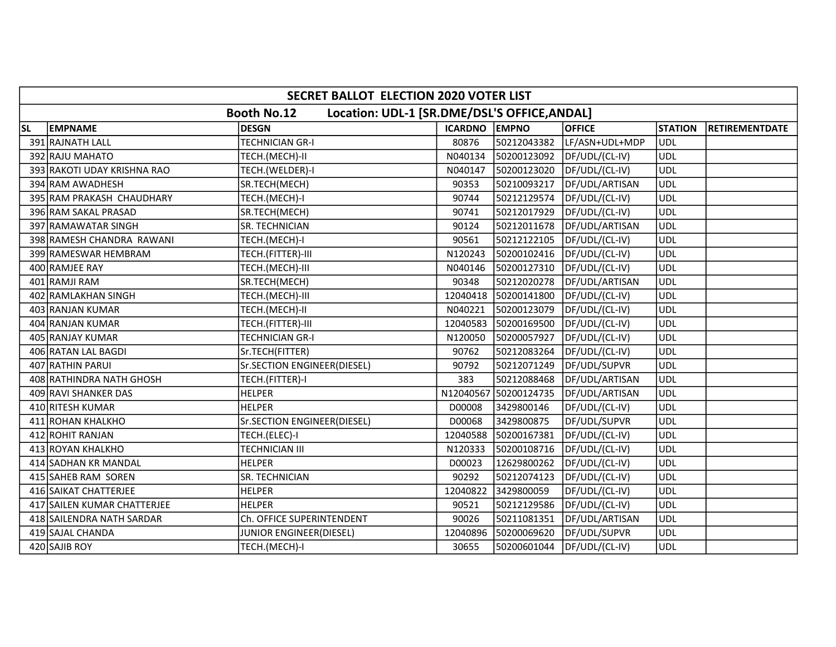|           | SECRET BALLOT ELECTION 2020 VOTER LIST                             |                             |               |             |                |                |                       |  |  |
|-----------|--------------------------------------------------------------------|-----------------------------|---------------|-------------|----------------|----------------|-----------------------|--|--|
|           | Location: UDL-1 [SR.DME/DSL'S OFFICE, ANDAL]<br><b>Booth No.12</b> |                             |               |             |                |                |                       |  |  |
| <b>SL</b> | <b>EMPNAME</b>                                                     | <b>DESGN</b>                | ICARDNO EMPNO |             | <b>OFFICE</b>  | <b>STATION</b> | <b>RETIREMENTDATE</b> |  |  |
|           | 391 RAJNATH LALL                                                   | <b>TECHNICIAN GR-I</b>      | 80876         | 50212043382 | LF/ASN+UDL+MDP | UDL            |                       |  |  |
|           | 392 RAJU MAHATO                                                    | TECH.(MECH)-II              | N040134       | 50200123092 | DF/UDL/(CL-IV) | <b>UDL</b>     |                       |  |  |
|           | 393 RAKOTI UDAY KRISHNA RAO                                        | TECH.(WELDER)-I             | N040147       | 50200123020 | DF/UDL/(CL-IV) | <b>UDL</b>     |                       |  |  |
|           | 394 RAM AWADHESH                                                   | SR.TECH(MECH)               | 90353         | 50210093217 | DF/UDL/ARTISAN | <b>UDL</b>     |                       |  |  |
|           | 395 RAM PRAKASH CHAUDHARY                                          | TECH.(MECH)-I               | 90744         | 50212129574 | DF/UDL/(CL-IV) | <b>UDL</b>     |                       |  |  |
|           | 396 RAM SAKAL PRASAD                                               | SR.TECH(MECH)               | 90741         | 50212017929 | DF/UDL/(CL-IV) | <b>UDL</b>     |                       |  |  |
|           | 397 RAMAWATAR SINGH                                                | SR. TECHNICIAN              | 90124         | 50212011678 | DF/UDL/ARTISAN | <b>UDL</b>     |                       |  |  |
|           | 398 RAMESH CHANDRA RAWANI                                          | TECH.(MECH)-I               | 90561         | 50212122105 | DF/UDL/(CL-IV) | <b>UDL</b>     |                       |  |  |
|           | 399 RAMESWAR HEMBRAM                                               | TECH.(FITTER)-III           | N120243       | 50200102416 | DF/UDL/(CL-IV) | <b>UDL</b>     |                       |  |  |
|           | 400 RAMJEE RAY                                                     | TECH.(MECH)-III             | N040146       | 50200127310 | DF/UDL/(CL-IV) | UDL            |                       |  |  |
|           | 401 RAMJI RAM                                                      | SR.TECH(MECH)               | 90348         | 50212020278 | DF/UDL/ARTISAN | <b>UDL</b>     |                       |  |  |
|           | 402 RAMLAKHAN SINGH                                                | TECH.(MECH)-III             | 12040418      | 50200141800 | DF/UDL/(CL-IV) | <b>UDL</b>     |                       |  |  |
|           | 403 RANJAN KUMAR                                                   | TECH.(MECH)-II              | N040221       | 50200123079 | DF/UDL/(CL-IV) | UDL            |                       |  |  |
|           | 404 RANJAN KUMAR                                                   | TECH.(FITTER)-III           | 12040583      | 50200169500 | DF/UDL/(CL-IV) | <b>UDL</b>     |                       |  |  |
|           | 405 RANJAY KUMAR                                                   | TECHNICIAN GR-I             | N120050       | 50200057927 | DF/UDL/(CL-IV) | <b>UDL</b>     |                       |  |  |
|           | 406 RATAN LAL BAGDI                                                | Sr.TECH(FITTER)             | 90762         | 50212083264 | DF/UDL/(CL-IV) | <b>UDL</b>     |                       |  |  |
|           | 407 RATHIN PARUI                                                   | Sr.SECTION ENGINEER(DIESEL) | 90792         | 50212071249 | DF/UDL/SUPVR   | <b>UDL</b>     |                       |  |  |
|           | 408 RATHINDRA NATH GHOSH                                           | TECH.(FITTER)-I             | 383           | 50212088468 | DF/UDL/ARTISAN | <b>UDL</b>     |                       |  |  |
|           | 409 RAVI SHANKER DAS                                               | <b>HELPER</b>               | N12040567     | 50200124735 | DF/UDL/ARTISAN | <b>UDL</b>     |                       |  |  |
|           | 410 RITESH KUMAR                                                   | <b>HELPER</b>               | D00008        | 3429800146  | DF/UDL/(CL-IV) | <b>UDL</b>     |                       |  |  |
|           | 411 ROHAN KHALKHO                                                  | Sr.SECTION ENGINEER(DIESEL) | D00068        | 3429800875  | DF/UDL/SUPVR   | <b>UDL</b>     |                       |  |  |
|           | 412 ROHIT RANJAN                                                   | TECH.(ELEC)-I               | 12040588      | 50200167381 | DF/UDL/(CL-IV) | <b>UDL</b>     |                       |  |  |
|           | 413 ROYAN KHALKHO                                                  | TECHNICIAN III              | N120333       | 50200108716 | DF/UDL/(CL-IV) | <b>UDL</b>     |                       |  |  |
|           | 414 SADHAN KR MANDAL                                               | <b>HELPER</b>               | D00023        | 12629800262 | DF/UDL/(CL-IV) | <b>UDL</b>     |                       |  |  |
|           | 415 SAHEB RAM SOREN                                                | SR. TECHNICIAN              | 90292         | 50212074123 | DF/UDL/(CL-IV) | <b>UDL</b>     |                       |  |  |
|           | 416 SAIKAT CHATTERJEE                                              | <b>HELPER</b>               | 12040822      | 3429800059  | DF/UDL/(CL-IV) | <b>UDL</b>     |                       |  |  |
|           | 417 SAILEN KUMAR CHATTERJEE                                        | <b>HELPER</b>               | 90521         | 50212129586 | DF/UDL/(CL-IV) | <b>UDL</b>     |                       |  |  |
|           | 418 SAILENDRA NATH SARDAR                                          | Ch. OFFICE SUPERINTENDENT   | 90026         | 50211081351 | DF/UDL/ARTISAN | <b>UDL</b>     |                       |  |  |
|           | 419 SAJAL CHANDA                                                   | JUNIOR ENGINEER(DIESEL)     | 12040896      | 50200069620 | DF/UDL/SUPVR   | <b>UDL</b>     |                       |  |  |
|           | 420 SAJIB ROY                                                      | TECH.(MECH)-I               | 30655         | 50200601044 | DF/UDL/(CL-IV) | <b>UDL</b>     |                       |  |  |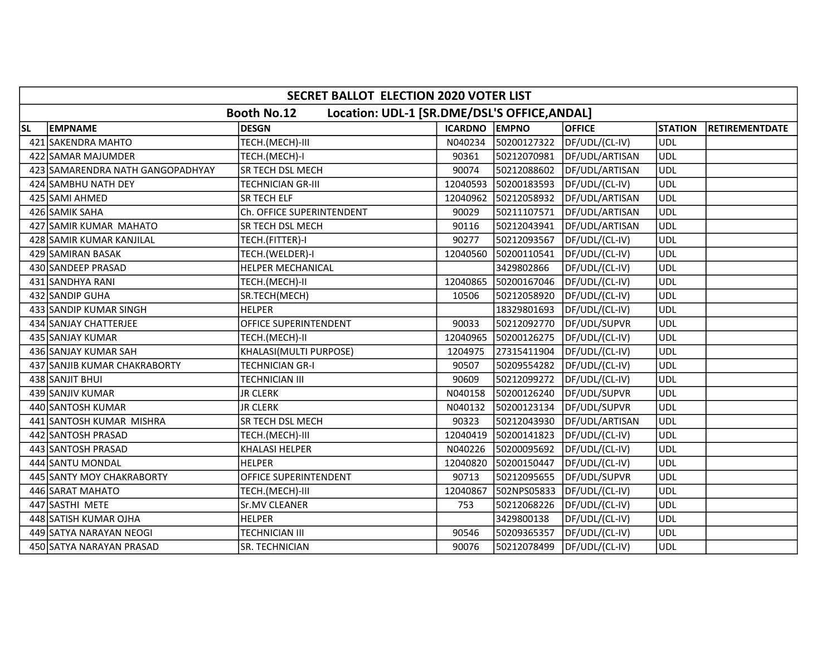|           | <b>SECRET BALLOT ELECTION 2020 VOTER LIST</b>                      |                           |                |             |                |                |                       |  |  |
|-----------|--------------------------------------------------------------------|---------------------------|----------------|-------------|----------------|----------------|-----------------------|--|--|
|           | Location: UDL-1 [SR.DME/DSL'S OFFICE, ANDAL]<br><b>Booth No.12</b> |                           |                |             |                |                |                       |  |  |
| <b>SL</b> | <b>EMPNAME</b>                                                     | <b>DESGN</b>              | <b>ICARDNO</b> | EMPNO       | <b>OFFICE</b>  | <b>STATION</b> | <b>RETIREMENTDATE</b> |  |  |
|           | 421 SAKENDRA MAHTO                                                 | TECH.(MECH)-III           | N040234        | 50200127322 | DF/UDL/(CL-IV) | <b>UDL</b>     |                       |  |  |
|           | 422 SAMAR MAJUMDER                                                 | TECH.(MECH)-I             | 90361          | 50212070981 | DF/UDL/ARTISAN | <b>UDL</b>     |                       |  |  |
|           | 423 SAMARENDRA NATH GANGOPADHYAY                                   | SR TECH DSL MECH          | 90074          | 50212088602 | DF/UDL/ARTISAN | <b>UDL</b>     |                       |  |  |
|           | 424 SAMBHU NATH DEY                                                | TECHNICIAN GR-III         | 12040593       | 50200183593 | DF/UDL/(CL-IV) | <b>UDL</b>     |                       |  |  |
|           | 425 SAMI AHMED                                                     | SR TECH ELF               | 12040962       | 50212058932 | DF/UDL/ARTISAN | <b>UDL</b>     |                       |  |  |
|           | 426 SAMIK SAHA                                                     | Ch. OFFICE SUPERINTENDENT | 90029          | 50211107571 | DF/UDL/ARTISAN | <b>UDL</b>     |                       |  |  |
|           | 427 SAMIR KUMAR MAHATO                                             | SR TECH DSL MECH          | 90116          | 50212043941 | DF/UDL/ARTISAN | <b>UDL</b>     |                       |  |  |
|           | 428 SAMIR KUMAR KANJILAL                                           | TECH.(FITTER)-I           | 90277          | 50212093567 | DF/UDL/(CL-IV) | <b>UDL</b>     |                       |  |  |
|           | 429 SAMIRAN BASAK                                                  | TECH.(WELDER)-I           | 12040560       | 50200110541 | DF/UDL/(CL-IV) | <b>UDL</b>     |                       |  |  |
|           | 430 SANDEEP PRASAD                                                 | HELPER MECHANICAL         |                | 3429802866  | DF/UDL/(CL-IV) | <b>UDL</b>     |                       |  |  |
|           | 431 SANDHYA RANI                                                   | TECH.(MECH)-II            | 12040865       | 50200167046 | DF/UDL/(CL-IV) | <b>UDL</b>     |                       |  |  |
|           | 432 SANDIP GUHA                                                    | SR.TECH(MECH)             | 10506          | 50212058920 | DF/UDL/(CL-IV) | UDL            |                       |  |  |
|           | 433 SANDIP KUMAR SINGH                                             | <b>HELPER</b>             |                | 18329801693 | DF/UDL/(CL-IV) | <b>UDL</b>     |                       |  |  |
|           | 434 SANJAY CHATTERJEE                                              | OFFICE SUPERINTENDENT     | 90033          | 50212092770 | DF/UDL/SUPVR   | <b>UDL</b>     |                       |  |  |
|           | 435 SANJAY KUMAR                                                   | TECH.(MECH)-II            | 12040965       | 50200126275 | DF/UDL/(CL-IV) | <b>UDL</b>     |                       |  |  |
|           | 436 SANJAY KUMAR SAH                                               | KHALASI(MULTI PURPOSE)    | 1204975        | 27315411904 | DF/UDL/(CL-IV) | <b>UDL</b>     |                       |  |  |
|           | 437 SANJIB KUMAR CHAKRABORTY                                       | TECHNICIAN GR-I           | 90507          | 50209554282 | DF/UDL/(CL-IV) | UDL            |                       |  |  |
|           | 438 SANJIT BHUI                                                    | TECHNICIAN III            | 90609          | 50212099272 | DF/UDL/(CL-IV) | <b>UDL</b>     |                       |  |  |
|           | 439 SANJIV KUMAR                                                   | <b>JR CLERK</b>           | N040158        | 50200126240 | DF/UDL/SUPVR   | <b>UDL</b>     |                       |  |  |
|           | 440 SANTOSH KUMAR                                                  | <b>JR CLERK</b>           | N040132        | 50200123134 | DF/UDL/SUPVR   | <b>UDL</b>     |                       |  |  |
|           | 441 SANTOSH KUMAR MISHRA                                           | SR TECH DSL MECH          | 90323          | 50212043930 | DF/UDL/ARTISAN | <b>UDL</b>     |                       |  |  |
|           | 442 SANTOSH PRASAD                                                 | TECH.(MECH)-III           | 12040419       | 50200141823 | DF/UDL/(CL-IV) | <b>UDL</b>     |                       |  |  |
|           | 443 SANTOSH PRASAD                                                 | KHALASI HELPER            | N040226        | 50200095692 | DF/UDL/(CL-IV) | <b>UDL</b>     |                       |  |  |
|           | 444 SANTU MONDAL                                                   | <b>HELPER</b>             | 12040820       | 50200150447 | DF/UDL/(CL-IV) | <b>UDL</b>     |                       |  |  |
|           | 445 SANTY MOY CHAKRABORTY                                          | OFFICE SUPERINTENDENT     | 90713          | 50212095655 | DF/UDL/SUPVR   | <b>UDL</b>     |                       |  |  |
|           | 446 SARAT MAHATO                                                   | TECH.(MECH)-III           | 12040867       | 502NPS05833 | DF/UDL/(CL-IV) | UDL            |                       |  |  |
|           | 447 SASTHI METE                                                    | Sr.MV CLEANER             | 753            | 50212068226 | DF/UDL/(CL-IV) | <b>UDL</b>     |                       |  |  |
|           | 448 SATISH KUMAR OJHA                                              | <b>HELPER</b>             |                | 3429800138  | DF/UDL/(CL-IV) | <b>UDL</b>     |                       |  |  |
|           | 449 SATYA NARAYAN NEOGI                                            | TECHNICIAN III            | 90546          | 50209365357 | DF/UDL/(CL-IV) | <b>UDL</b>     |                       |  |  |
|           | 450 SATYA NARAYAN PRASAD                                           | SR. TECHNICIAN            | 90076          | 50212078499 | DF/UDL/(CL-IV) | <b>UDL</b>     |                       |  |  |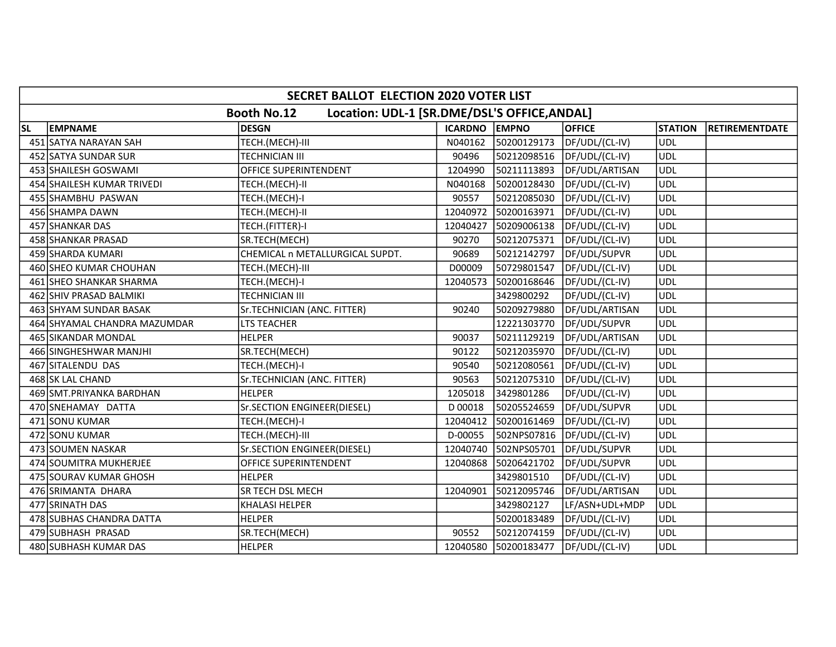|           | <b>SECRET BALLOT ELECTION 2020 VOTER LIST</b>                      |                                 |               |                      |                |                |                       |  |  |
|-----------|--------------------------------------------------------------------|---------------------------------|---------------|----------------------|----------------|----------------|-----------------------|--|--|
|           | Location: UDL-1 [SR.DME/DSL'S OFFICE, ANDAL]<br><b>Booth No.12</b> |                                 |               |                      |                |                |                       |  |  |
| <b>SL</b> | <b>EMPNAME</b>                                                     | <b>DESGN</b>                    | ICARDNO EMPNO |                      | <b>OFFICE</b>  | <b>STATION</b> | <b>RETIREMENTDATE</b> |  |  |
|           | 451 SATYA NARAYAN SAH                                              | TECH.(MECH)-III                 | N040162       | 50200129173          | DF/UDL/(CL-IV) | <b>UDL</b>     |                       |  |  |
|           | 452 SATYA SUNDAR SUR                                               | TECHNICIAN III                  | 90496         | 50212098516          | DF/UDL/(CL-IV) | <b>UDL</b>     |                       |  |  |
|           | 453 SHAILESH GOSWAMI                                               | OFFICE SUPERINTENDENT           | 1204990       | 50211113893          | DF/UDL/ARTISAN | <b>UDL</b>     |                       |  |  |
|           | 454 SHAILESH KUMAR TRIVEDI                                         | TECH.(MECH)-II                  | N040168       | 50200128430          | DF/UDL/(CL-IV) | <b>UDL</b>     |                       |  |  |
|           | 455 SHAMBHU PASWAN                                                 | TECH.(MECH)-I                   | 90557         | 50212085030          | DF/UDL/(CL-IV) | <b>UDL</b>     |                       |  |  |
|           | 456 SHAMPA DAWN                                                    | TECH.(MECH)-II                  | 12040972      | 50200163971          | DF/UDL/(CL-IV) | <b>UDL</b>     |                       |  |  |
|           | 457 SHANKAR DAS                                                    | TECH.(FITTER)-I                 | 12040427      | 50209006138          | DF/UDL/(CL-IV) | <b>UDL</b>     |                       |  |  |
|           | 458 SHANKAR PRASAD                                                 | SR.TECH(MECH)                   | 90270         | 50212075371          | DF/UDL/(CL-IV) | <b>UDL</b>     |                       |  |  |
|           | 459 SHARDA KUMARI                                                  | CHEMICAL n METALLURGICAL SUPDT. | 90689         | 50212142797          | DF/UDL/SUPVR   | <b>UDL</b>     |                       |  |  |
|           | 460 SHEO KUMAR CHOUHAN                                             | TECH.(MECH)-III                 | D00009        | 50729801547          | DF/UDL/(CL-IV) | UDL            |                       |  |  |
|           | 461 SHEO SHANKAR SHARMA                                            | TECH.(MECH)-I                   | 12040573      | 50200168646          | DF/UDL/(CL-IV) | <b>UDL</b>     |                       |  |  |
|           | 462 SHIV PRASAD BALMIKI                                            | TECHNICIAN III                  |               | 3429800292           | DF/UDL/(CL-IV) | <b>UDL</b>     |                       |  |  |
|           | 463 SHYAM SUNDAR BASAK                                             | Sr.TECHNICIAN (ANC. FITTER)     | 90240         | 50209279880          | DF/UDL/ARTISAN | <b>UDL</b>     |                       |  |  |
|           | 464 SHYAMAL CHANDRA MAZUMDAR                                       | LTS TEACHER                     |               | 12221303770          | DF/UDL/SUPVR   | <b>UDL</b>     |                       |  |  |
|           | 465 SIKANDAR MONDAL                                                | <b>HELPER</b>                   | 90037         | 50211129219          | DF/UDL/ARTISAN | <b>UDL</b>     |                       |  |  |
|           | 466 SINGHESHWAR MANJHI                                             | SR.TECH(MECH)                   | 90122         | 50212035970          | DF/UDL/(CL-IV) | <b>UDL</b>     |                       |  |  |
|           | 467 SITALENDU DAS                                                  | TECH.(MECH)-I                   | 90540         | 50212080561          | DF/UDL/(CL-IV) | UDL            |                       |  |  |
|           | 468 SK LAL CHAND                                                   | Sr.TECHNICIAN (ANC. FITTER)     | 90563         | 50212075310          | DF/UDL/(CL-IV) | <b>UDL</b>     |                       |  |  |
|           | 469 SMT. PRIYANKA BARDHAN                                          | <b>HELPER</b>                   | 1205018       | 3429801286           | DF/UDL/(CL-IV) | <b>UDL</b>     |                       |  |  |
|           | 470 SNEHAMAY DATTA                                                 | Sr.SECTION ENGINEER(DIESEL)     | D 00018       | 50205524659          | DF/UDL/SUPVR   | <b>UDL</b>     |                       |  |  |
|           | 471 SONU KUMAR                                                     | TECH.(MECH)-I                   | 12040412      | 50200161469          | DF/UDL/(CL-IV) | <b>UDL</b>     |                       |  |  |
|           | 472 SONU KUMAR                                                     | TECH.(MECH)-III                 | D-00055       | 502NPS07816          | DF/UDL/(CL-IV) | <b>UDL</b>     |                       |  |  |
|           | 473 SOUMEN NASKAR                                                  | Sr.SECTION ENGINEER(DIESEL)     | 12040740      | 502NPS05701          | DF/UDL/SUPVR   | <b>UDL</b>     |                       |  |  |
|           | 474 SOUMITRA MUKHERJEE                                             | OFFICE SUPERINTENDENT           | 12040868      | 50206421702          | DF/UDL/SUPVR   | UDL            |                       |  |  |
|           | 475 SOURAV KUMAR GHOSH                                             | <b>HELPER</b>                   |               | 3429801510           | DF/UDL/(CL-IV) | <b>UDL</b>     |                       |  |  |
|           | 476 SRIMANTA DHARA                                                 | SR TECH DSL MECH                | 12040901      | 50212095746          | DF/UDL/ARTISAN | UDL            |                       |  |  |
|           | 477 SRINATH DAS                                                    | <b>KHALASI HELPER</b>           |               | 3429802127           | LF/ASN+UDL+MDP | <b>UDL</b>     |                       |  |  |
|           | 478 SUBHAS CHANDRA DATTA                                           | <b>HELPER</b>                   |               | 50200183489          | DF/UDL/(CL-IV) | <b>UDL</b>     |                       |  |  |
|           | 479 SUBHASH PRASAD                                                 | SR.TECH(MECH)                   | 90552         | 50212074159          | DF/UDL/(CL-IV) | <b>UDL</b>     |                       |  |  |
|           | 480 SUBHASH KUMAR DAS                                              | <b>HELPER</b>                   |               | 12040580 50200183477 | DF/UDL/(CL-IV) | <b>UDL</b>     |                       |  |  |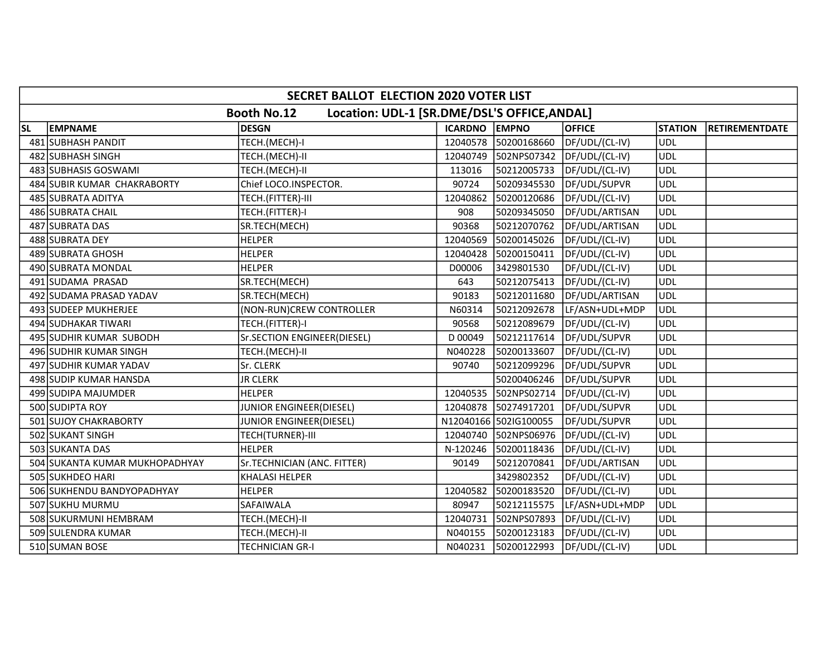|           | SECRET BALLOT ELECTION 2020 VOTER LIST                             |                                |               |                       |                |                |                       |  |  |
|-----------|--------------------------------------------------------------------|--------------------------------|---------------|-----------------------|----------------|----------------|-----------------------|--|--|
|           | Location: UDL-1 [SR.DME/DSL'S OFFICE, ANDAL]<br><b>Booth No.12</b> |                                |               |                       |                |                |                       |  |  |
| <b>SL</b> | <b>EMPNAME</b>                                                     | <b>DESGN</b>                   | ICARDNO EMPNO |                       | <b>OFFICE</b>  | <b>STATION</b> | <b>RETIREMENTDATE</b> |  |  |
|           | 481 SUBHASH PANDIT                                                 | TECH.(MECH)-I                  | 12040578      | 50200168660           | DF/UDL/(CL-IV) | UDL            |                       |  |  |
|           | 482 SUBHASH SINGH                                                  | TECH.(MECH)-II                 | 12040749      | 502NPS07342           | DF/UDL/(CL-IV) | <b>UDL</b>     |                       |  |  |
|           | 483 SUBHASIS GOSWAMI                                               | TECH.(MECH)-II                 | 113016        | 50212005733           | DF/UDL/(CL-IV) | <b>UDL</b>     |                       |  |  |
|           | 484 SUBIR KUMAR CHAKRABORTY                                        | Chief LOCO.INSPECTOR.          | 90724         | 50209345530           | DF/UDL/SUPVR   | <b>UDL</b>     |                       |  |  |
|           | 485 SUBRATA ADITYA                                                 | TECH.(FITTER)-III              | 12040862      | 50200120686           | DF/UDL/(CL-IV) | <b>UDL</b>     |                       |  |  |
|           | 486 SUBRATA CHAIL                                                  | TECH.(FITTER)-I                | 908           | 50209345050           | DF/UDL/ARTISAN | <b>UDL</b>     |                       |  |  |
|           | 487 SUBRATA DAS                                                    | SR.TECH(MECH)                  | 90368         | 50212070762           | DF/UDL/ARTISAN | <b>UDL</b>     |                       |  |  |
|           | 488 SUBRATA DEY                                                    | <b>HELPER</b>                  | 12040569      | 50200145026           | DF/UDL/(CL-IV) | UDL            |                       |  |  |
|           | 489 SUBRATA GHOSH                                                  | <b>HELPER</b>                  | 12040428      | 50200150411           | DF/UDL/(CL-IV) | <b>UDL</b>     |                       |  |  |
|           | 490 SUBRATA MONDAL                                                 | <b>HELPER</b>                  | D00006        | 3429801530            | DF/UDL/(CL-IV) | <b>UDL</b>     |                       |  |  |
|           | 491 SUDAMA PRASAD                                                  | SR.TECH(MECH)                  | 643           | 50212075413           | DF/UDL/(CL-IV) | <b>UDL</b>     |                       |  |  |
|           | 492 SUDAMA PRASAD YADAV                                            | SR.TECH(MECH)                  | 90183         | 50212011680           | DF/UDL/ARTISAN | <b>UDL</b>     |                       |  |  |
|           | 493 SUDEEP MUKHERJEE                                               | (NON-RUN)CREW CONTROLLER       | N60314        | 50212092678           | LF/ASN+UDL+MDP | <b>UDL</b>     |                       |  |  |
|           | 494 SUDHAKAR TIWARI                                                | TECH.(FITTER)-I                | 90568         | 50212089679           | DF/UDL/(CL-IV) | <b>UDL</b>     |                       |  |  |
|           | 495 SUDHIR KUMAR SUBODH                                            | Sr.SECTION ENGINEER(DIESEL)    | D 00049       | 50212117614           | DF/UDL/SUPVR   | <b>UDL</b>     |                       |  |  |
|           | 496 SUDHIR KUMAR SINGH                                             | TECH.(MECH)-II                 | N040228       | 50200133607           | DF/UDL/(CL-IV) | <b>UDL</b>     |                       |  |  |
|           | 497 SUDHIR KUMAR YADAV                                             | Sr. CLERK                      | 90740         | 50212099296           | DF/UDL/SUPVR   | UDL            |                       |  |  |
|           | 498 SUDIP KUMAR HANSDA                                             | <b>JR CLERK</b>                |               | 50200406246           | DF/UDL/SUPVR   | UDL            |                       |  |  |
|           | 499 SUDIPA MAJUMDER                                                | <b>HELPER</b>                  | 12040535      | 502NPS02714           | DF/UDL/(CL-IV) | <b>UDL</b>     |                       |  |  |
|           | 500 SUDIPTA ROY                                                    | <b>JUNIOR ENGINEER(DIESEL)</b> | 12040878      | 50274917201           | DF/UDL/SUPVR   | <b>UDL</b>     |                       |  |  |
|           | 501 SUJOY CHAKRABORTY                                              | <b>JUNIOR ENGINEER(DIESEL)</b> |               | N12040166 502IG100055 | DF/UDL/SUPVR   | UDL            |                       |  |  |
|           | 502 SUKANT SINGH                                                   | TECH(TURNER)-III               | 12040740      | 502NPS06976           | DF/UDL/(CL-IV) | <b>UDL</b>     |                       |  |  |
|           | 503 SUKANTA DAS                                                    | <b>HELPER</b>                  | N-120246      | 50200118436           | DF/UDL/(CL-IV) | <b>UDL</b>     |                       |  |  |
|           | 504 SUKANTA KUMAR MUKHOPADHYAY                                     | Sr.TECHNICIAN (ANC. FITTER)    | 90149         | 50212070841           | DF/UDL/ARTISAN | UDL            |                       |  |  |
|           | 505 SUKHDEO HARI                                                   | <b>KHALASI HELPER</b>          |               | 3429802352            | DF/UDL/(CL-IV) | <b>UDL</b>     |                       |  |  |
|           | 506 SUKHENDU BANDYOPADHYAY                                         | <b>HELPER</b>                  | 12040582      | 50200183520           | DF/UDL/(CL-IV) | <b>UDL</b>     |                       |  |  |
|           | 507 SUKHU MURMU                                                    | SAFAIWALA                      | 80947         | 50212115575           | LF/ASN+UDL+MDP | <b>UDL</b>     |                       |  |  |
|           | 508 SUKURMUNI HEMBRAM                                              | TECH.(MECH)-II                 | 12040731      | 502NPS07893           | DF/UDL/(CL-IV) | <b>UDL</b>     |                       |  |  |
|           | 509 SULENDRA KUMAR                                                 | TECH.(MECH)-II                 | N040155       | 50200123183           | DF/UDL/(CL-IV) | <b>UDL</b>     |                       |  |  |
|           | 510 SUMAN BOSE                                                     | TECHNICIAN GR-I                | N040231       | 50200122993           | DF/UDL/(CL-IV) | <b>UDL</b>     |                       |  |  |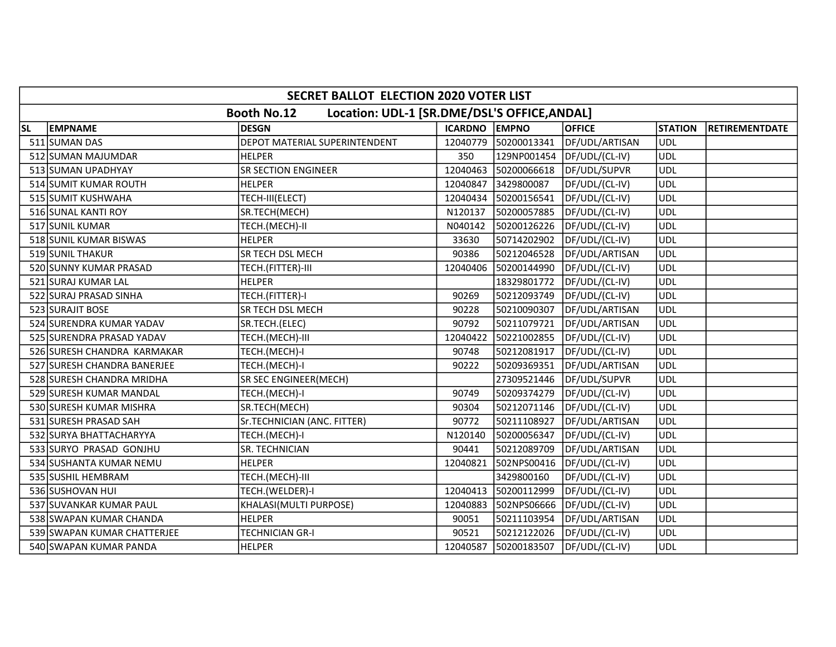|           | SECRET BALLOT ELECTION 2020 VOTER LIST                             |                               |               |             |                |                |                       |  |  |
|-----------|--------------------------------------------------------------------|-------------------------------|---------------|-------------|----------------|----------------|-----------------------|--|--|
|           | Location: UDL-1 [SR.DME/DSL'S OFFICE, ANDAL]<br><b>Booth No.12</b> |                               |               |             |                |                |                       |  |  |
| <b>SL</b> | <b>EMPNAME</b>                                                     | <b>DESGN</b>                  | ICARDNO EMPNO |             | <b>OFFICE</b>  | <b>STATION</b> | <b>RETIREMENTDATE</b> |  |  |
|           | 511 SUMAN DAS                                                      | DEPOT MATERIAL SUPERINTENDENT | 12040779      | 50200013341 | DF/UDL/ARTISAN | UDL            |                       |  |  |
|           | 512 SUMAN MAJUMDAR                                                 | <b>HELPER</b>                 | 350           | 129NP001454 | DF/UDL/(CL-IV) | <b>UDL</b>     |                       |  |  |
|           | 513 SUMAN UPADHYAY                                                 | <b>SR SECTION ENGINEER</b>    | 12040463      | 50200066618 | DF/UDL/SUPVR   | <b>UDL</b>     |                       |  |  |
|           | 514 SUMIT KUMAR ROUTH                                              | <b>HELPER</b>                 | 12040847      | 3429800087  | DF/UDL/(CL-IV) | <b>UDL</b>     |                       |  |  |
|           | 515 SUMIT KUSHWAHA                                                 | TECH-III(ELECT)               | 12040434      | 50200156541 | DF/UDL/(CL-IV) | <b>UDL</b>     |                       |  |  |
|           | 516 SUNAL KANTI ROY                                                | SR.TECH(MECH)                 | N120137       | 50200057885 | DF/UDL/(CL-IV) | <b>UDL</b>     |                       |  |  |
|           | 517 SUNIL KUMAR                                                    | TECH.(MECH)-II                | N040142       | 50200126226 | DF/UDL/(CL-IV) | <b>UDL</b>     |                       |  |  |
|           | 518 SUNIL KUMAR BISWAS                                             | <b>HELPER</b>                 | 33630         | 50714202902 | DF/UDL/(CL-IV) | UDL            |                       |  |  |
|           | 519 SUNIL THAKUR                                                   | SR TECH DSL MECH              | 90386         | 50212046528 | DF/UDL/ARTISAN | UDL            |                       |  |  |
|           | 520 SUNNY KUMAR PRASAD                                             | TECH.(FITTER)-III             | 12040406      | 50200144990 | DF/UDL/(CL-IV) | <b>UDL</b>     |                       |  |  |
|           | 521 SURAJ KUMAR LAL                                                | <b>HELPER</b>                 |               | 18329801772 | DF/UDL/(CL-IV) | <b>UDL</b>     |                       |  |  |
|           | 522 SURAJ PRASAD SINHA                                             | TECH.(FITTER)-I               | 90269         | 50212093749 | DF/UDL/(CL-IV) | <b>UDL</b>     |                       |  |  |
|           | 523 SURAJIT BOSE                                                   | SR TECH DSL MECH              | 90228         | 50210090307 | DF/UDL/ARTISAN | <b>UDL</b>     |                       |  |  |
|           | 524 SURENDRA KUMAR YADAV                                           | SR.TECH.(ELEC)                | 90792         | 50211079721 | DF/UDL/ARTISAN | <b>UDL</b>     |                       |  |  |
|           | 525 SURENDRA PRASAD YADAV                                          | TECH.(MECH)-III               | 12040422      | 50221002855 | DF/UDL/(CL-IV) | <b>UDL</b>     |                       |  |  |
|           | 526 SURESH CHANDRA KARMAKAR                                        | TECH.(MECH)-I                 | 90748         | 50212081917 | DF/UDL/(CL-IV) | <b>UDL</b>     |                       |  |  |
|           | 527 SURESH CHANDRA BANERJEE                                        | TECH.(MECH)-I                 | 90222         | 50209369351 | DF/UDL/ARTISAN | <b>UDL</b>     |                       |  |  |
|           | 528 SURESH CHANDRA MRIDHA                                          | SR SEC ENGINEER(MECH)         |               | 27309521446 | DF/UDL/SUPVR   | <b>UDL</b>     |                       |  |  |
|           | 529 SURESH KUMAR MANDAL                                            | TECH.(MECH)-I                 | 90749         | 50209374279 | DF/UDL/(CL-IV) | <b>UDL</b>     |                       |  |  |
|           | 530 SURESH KUMAR MISHRA                                            | SR.TECH(MECH)                 | 90304         | 50212071146 | DF/UDL/(CL-IV) | UDL            |                       |  |  |
|           | 531 SURESH PRASAD SAH                                              | Sr.TECHNICIAN (ANC. FITTER)   | 90772         | 50211108927 | DF/UDL/ARTISAN | <b>UDL</b>     |                       |  |  |
|           | 532 SURYA BHATTACHARYYA                                            | TECH.(MECH)-I                 | N120140       | 50200056347 | DF/UDL/(CL-IV) | UDL            |                       |  |  |
|           | 533 SURYO PRASAD GONJHU                                            | SR. TECHNICIAN                | 90441         | 50212089709 | DF/UDL/ARTISAN | <b>UDL</b>     |                       |  |  |
|           | 534 SUSHANTA KUMAR NEMU                                            | <b>HELPER</b>                 | 12040821      | 502NPS00416 | DF/UDL/(CL-IV) | <b>UDL</b>     |                       |  |  |
|           | 535 SUSHIL HEMBRAM                                                 | TECH.(MECH)-III               |               | 3429800160  | DF/UDL/(CL-IV) | <b>UDL</b>     |                       |  |  |
|           | 536 SUSHOVAN HUI                                                   | TECH.(WELDER)-I               | 12040413      | 50200112999 | DF/UDL/(CL-IV) | <b>UDL</b>     |                       |  |  |
|           | 537 SUVANKAR KUMAR PAUL                                            | KHALASI(MULTI PURPOSE)        | 12040883      | 502NPS06666 | DF/UDL/(CL-IV) | <b>UDL</b>     |                       |  |  |
|           | 538 SWAPAN KUMAR CHANDA                                            | <b>HELPER</b>                 | 90051         | 50211103954 | DF/UDL/ARTISAN | <b>UDL</b>     |                       |  |  |
|           | 539 SWAPAN KUMAR CHATTERJEE                                        | TECHNICIAN GR-I               | 90521         | 50212122026 | DF/UDL/(CL-IV) | <b>UDL</b>     |                       |  |  |
|           | 540 SWAPAN KUMAR PANDA                                             | <b>HELPER</b>                 | 12040587      | 50200183507 | DF/UDL/(CL-IV) | <b>UDL</b>     |                       |  |  |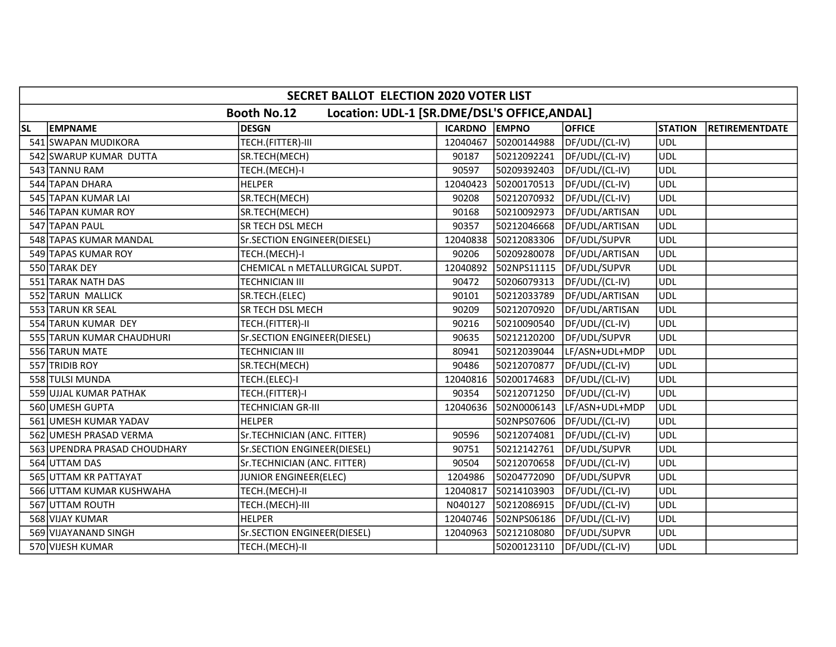|           | SECRET BALLOT ELECTION 2020 VOTER LIST                             |                                 |               |             |                |                |                       |  |  |
|-----------|--------------------------------------------------------------------|---------------------------------|---------------|-------------|----------------|----------------|-----------------------|--|--|
|           | Location: UDL-1 [SR.DME/DSL'S OFFICE, ANDAL]<br><b>Booth No.12</b> |                                 |               |             |                |                |                       |  |  |
| <b>SL</b> | <b>EMPNAME</b>                                                     | <b>DESGN</b>                    | ICARDNO EMPNO |             | <b>OFFICE</b>  | <b>STATION</b> | <b>RETIREMENTDATE</b> |  |  |
|           | 541 SWAPAN MUDIKORA                                                | TECH.(FITTER)-III               | 12040467      | 50200144988 | DF/UDL/(CL-IV) | UDL            |                       |  |  |
|           | 542 SWARUP KUMAR DUTTA                                             | SR.TECH(MECH)                   | 90187         | 50212092241 | DF/UDL/(CL-IV) | <b>UDL</b>     |                       |  |  |
|           | 543 TANNU RAM                                                      | TECH.(MECH)-I                   | 90597         | 50209392403 | DF/UDL/(CL-IV) | <b>UDL</b>     |                       |  |  |
|           | 544 TAPAN DHARA                                                    | <b>HELPER</b>                   | 12040423      | 50200170513 | DF/UDL/(CL-IV) | <b>UDL</b>     |                       |  |  |
|           | 545 TAPAN KUMAR LAI                                                | SR.TECH(MECH)                   | 90208         | 50212070932 | DF/UDL/(CL-IV) | <b>UDL</b>     |                       |  |  |
|           | 546 TAPAN KUMAR ROY                                                | SR.TECH(MECH)                   | 90168         | 50210092973 | DF/UDL/ARTISAN | <b>UDL</b>     |                       |  |  |
|           | 547 TAPAN PAUL                                                     | SR TECH DSL MECH                | 90357         | 50212046668 | DF/UDL/ARTISAN | <b>UDL</b>     |                       |  |  |
|           | 548 TAPAS KUMAR MANDAL                                             | Sr.SECTION ENGINEER(DIESEL)     | 12040838      | 50212083306 | DF/UDL/SUPVR   | UDL            |                       |  |  |
|           | 549 TAPAS KUMAR ROY                                                | TECH.(MECH)-I                   | 90206         | 50209280078 | DF/UDL/ARTISAN | <b>UDL</b>     |                       |  |  |
|           | 550 TARAK DEY                                                      | CHEMICAL n METALLURGICAL SUPDT. | 12040892      | 502NPS11115 | DF/UDL/SUPVR   | <b>UDL</b>     |                       |  |  |
|           | 551 TARAK NATH DAS                                                 | TECHNICIAN III                  | 90472         | 50206079313 | DF/UDL/(CL-IV) | <b>UDL</b>     |                       |  |  |
|           | 552 TARUN MALLICK                                                  | SR.TECH.(ELEC)                  | 90101         | 50212033789 | DF/UDL/ARTISAN | <b>UDL</b>     |                       |  |  |
|           | 553 TARUN KR SEAL                                                  | SR TECH DSL MECH                | 90209         | 50212070920 | DF/UDL/ARTISAN | <b>UDL</b>     |                       |  |  |
|           | 554 TARUN KUMAR DEY                                                | TECH.(FITTER)-II                | 90216         | 50210090540 | DF/UDL/(CL-IV) | <b>UDL</b>     |                       |  |  |
|           | 555 TARUN KUMAR CHAUDHURI                                          | Sr.SECTION ENGINEER(DIESEL)     | 90635         | 50212120200 | DF/UDL/SUPVR   | <b>UDL</b>     |                       |  |  |
|           | 556 TARUN MATE                                                     | TECHNICIAN III                  | 80941         | 50212039044 | LF/ASN+UDL+MDP | <b>UDL</b>     |                       |  |  |
|           | 557 TRIDIB ROY                                                     | SR.TECH(MECH)                   | 90486         | 50212070877 | DF/UDL/(CL-IV) | UDL            |                       |  |  |
|           | 558 TULSI MUNDA                                                    | TECH.(ELEC)-I                   | 12040816      | 50200174683 | DF/UDL/(CL-IV) | <b>UDL</b>     |                       |  |  |
|           | 559 UJJAL KUMAR PATHAK                                             | TECH.(FITTER)-I                 | 90354         | 50212071250 | DF/UDL/(CL-IV) | <b>UDL</b>     |                       |  |  |
|           | 560 UMESH GUPTA                                                    | TECHNICIAN GR-III               | 12040636      | 502N0006143 | LF/ASN+UDL+MDP | <b>UDL</b>     |                       |  |  |
|           | 561 UMESH KUMAR YADAV                                              | <b>HELPER</b>                   |               | 502NPS07606 | DF/UDL/(CL-IV) | <b>UDL</b>     |                       |  |  |
|           | 562 UMESH PRASAD VERMA                                             | Sr.TECHNICIAN (ANC. FITTER)     | 90596         | 50212074081 | DF/UDL/(CL-IV) | <b>UDL</b>     |                       |  |  |
|           | 563 UPENDRA PRASAD CHOUDHARY                                       | Sr.SECTION ENGINEER(DIESEL)     | 90751         | 50212142761 | DF/UDL/SUPVR   | <b>UDL</b>     |                       |  |  |
|           | 564 UTTAM DAS                                                      | Sr.TECHNICIAN (ANC. FITTER)     | 90504         | 50212070658 | DF/UDL/(CL-IV) | UDL            |                       |  |  |
|           | 565 UTTAM KR PATTAYAT                                              | JUNIOR ENGINEER(ELEC)           | 1204986       | 50204772090 | DF/UDL/SUPVR   | <b>UDL</b>     |                       |  |  |
|           | 566 UTTAM KUMAR KUSHWAHA                                           | TECH.(MECH)-II                  | 12040817      | 50214103903 | DF/UDL/(CL-IV) | UDL            |                       |  |  |
|           | 567 UTTAM ROUTH                                                    | TECH.(MECH)-III                 | N040127       | 50212086915 | DF/UDL/(CL-IV) | <b>UDL</b>     |                       |  |  |
|           | 568 VIJAY KUMAR                                                    | <b>HELPER</b>                   | 12040746      | 502NPS06186 | DF/UDL/(CL-IV) | <b>UDL</b>     |                       |  |  |
|           | 569 VIJAYANAND SINGH                                               | Sr.SECTION ENGINEER(DIESEL)     | 12040963      | 50212108080 | DF/UDL/SUPVR   | <b>UDL</b>     |                       |  |  |
|           | 570 VIJESH KUMAR                                                   | TECH.(MECH)-II                  |               | 50200123110 | DF/UDL/(CL-IV) | <b>UDL</b>     |                       |  |  |